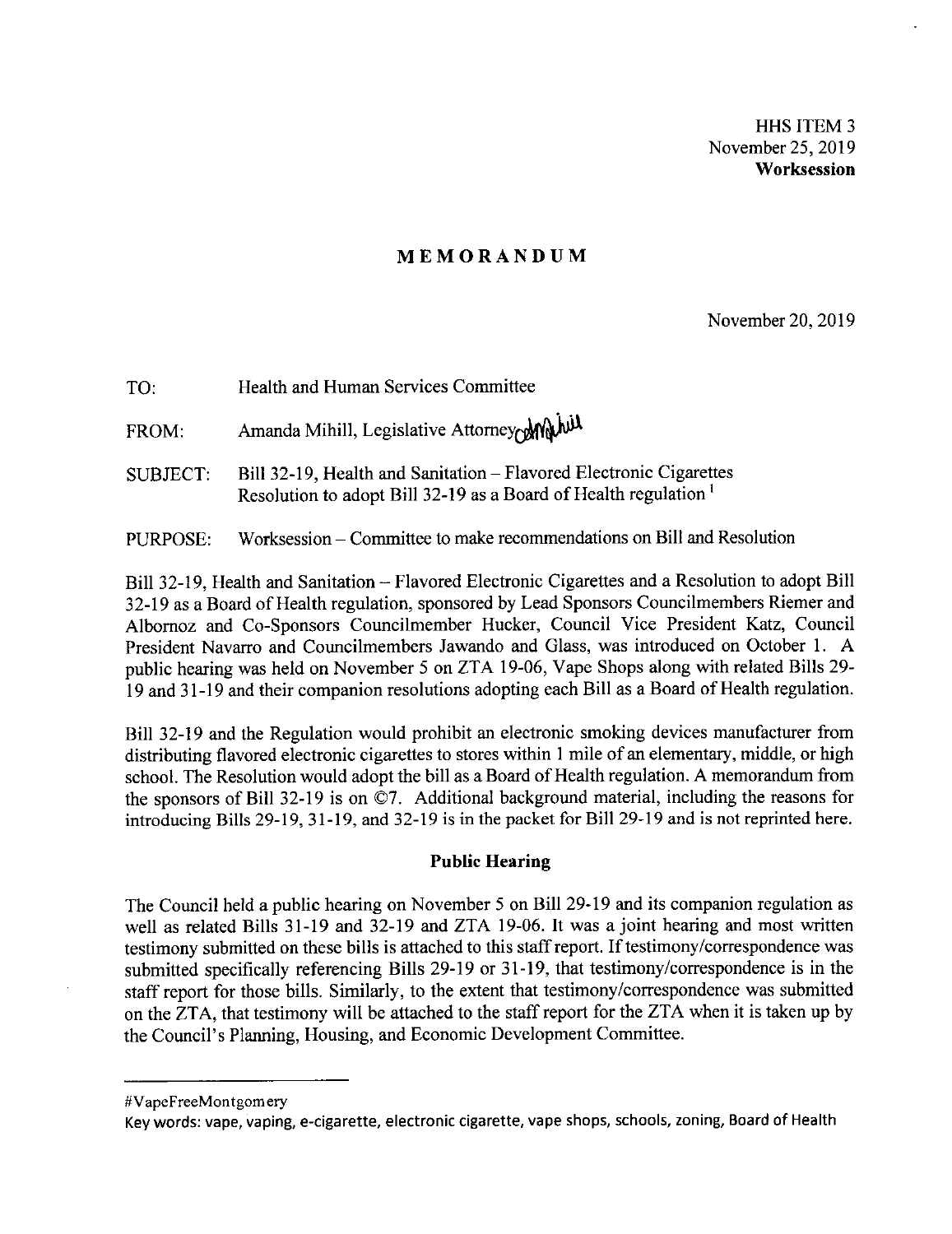HHS ITEM 3 November 25, 2019 **Worksession** 

### **MEMORANDUM**

November 20, 2019

| TO.             | Health and Human Services Committee                                                                                                               |
|-----------------|---------------------------------------------------------------------------------------------------------------------------------------------------|
| FROM:           | Amanda Mihill, Legislative Attorney Mini                                                                                                          |
| <b>SUBJECT:</b> | Bill 32-19, Health and Sanitation – Flavored Electronic Cigarettes<br>Resolution to adopt Bill 32-19 as a Board of Health regulation <sup>1</sup> |

PURPOSE: Worksession - Committee to make recommendations on Bill and Resolution

Bill 32-19, Health and Sanitation - Flavored Electronic Cigarettes and a Resolution to adopt Bill 32-19 as a Board of Health regulation, sponsored by Lead Sponsors Councilmembers Riemer and Albornoz and Co-Sponsors Councilmember Hucker, Council Vice President Katz, Council President Navarro and Councilmembers Jawando and Glass, was introduced on October 1. A public hearing was held on November 5 on ZTA 19-06, Vape Shops along with related Bills 29- 19 and 31-19 and their companion resolutions adopting each Bill as a Board of Health regulation.

Bill 32-19 and the Regulation would prohibit an electronic smoking devices manufacturer from distributing flavored electronic cigarettes to stores within 1 mile of an elementary, middle, or high school. The Resolution would adopt the bill as a Board of Health regulation. A memorandum from the sponsors of Bill 32-19 is on ©7. Additional background material, including the reasons for introducing Bills 29-19, 31-19, and 32-19 is in the packet for Bill 29-19 and is not reprinted here.

### **Public Hearing**

The Council held a public hearing on November 5 on Bill 29-19 and its companion regulation as well as related Bills 31-19 and 32-19 and ZTA 19-06. It was a joint hearing and most written testimony submitted on these bills is attached to this staff report. If testimony/correspondence was submitted specifically referencing Bills 29-19 or 31-19, that testimony/correspondence is in the staff report for those bills. Similarly, to the extent that testimony/correspondence was submitted on the ZTA, that testimony will be attached to the staff report for the ZTA when it is taken up by the Council's Planning, Housing, and Economic Development Committee.

<sup>#</sup>VapeFreeMontgom ery

Key words: vape, vaping, e-cigarette, electronic cigarette, vape shops, schools, zoning, Board of Health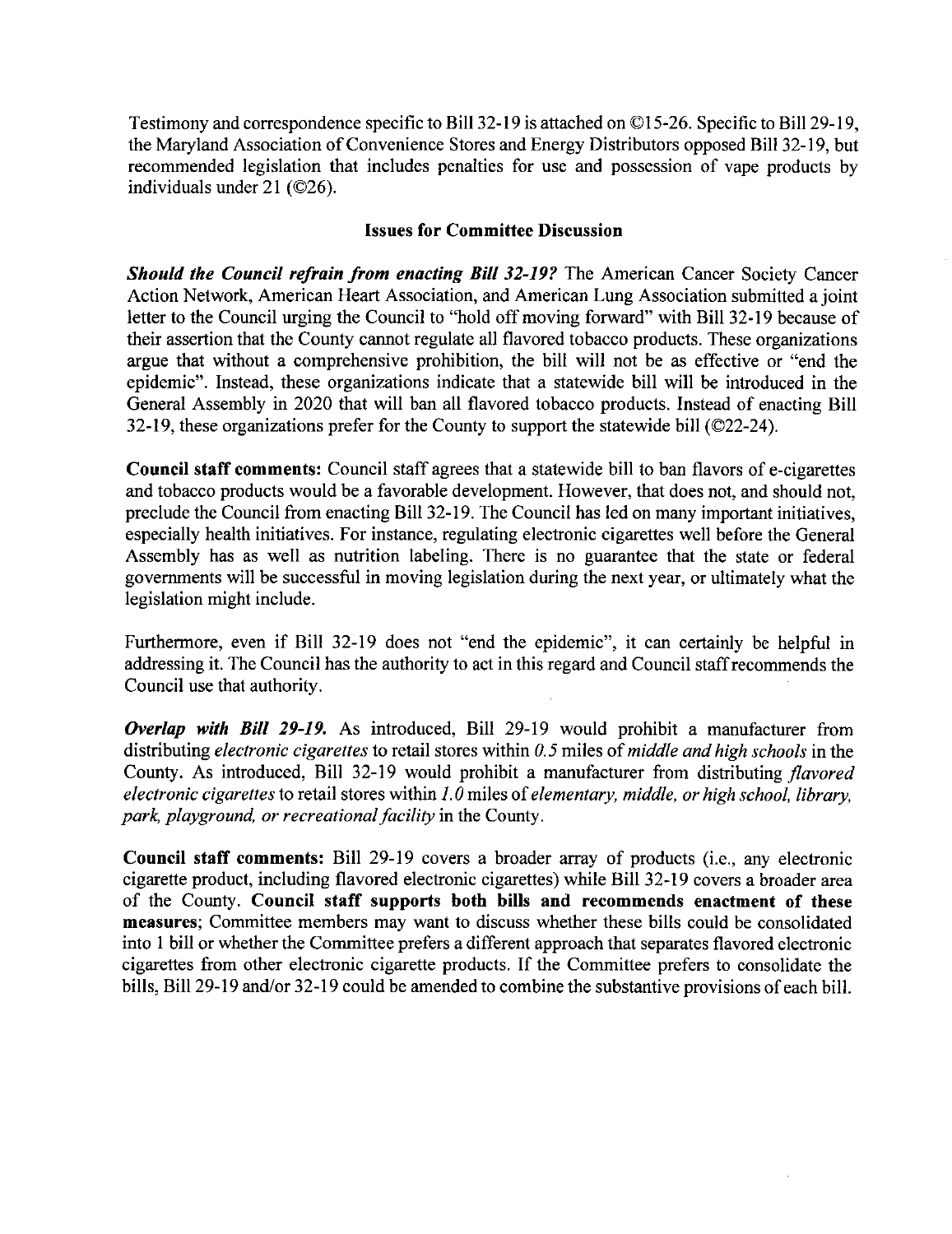Testimony and correspondence specific to Bill 32-19 is attached on ©15-26. Specific to Bill 29-19, the Maryland Association of Convenience Stores and Energy Distributors opposed **Bill** 32-19, but recommended legislation that includes penalties for use and possession of vape products by individuals under 21 (©26).

### **Issues for Committee Discussion**

*Should the Council refrain from enacting Bill 32-19?* The American Cancer Society Cancer Action Network, American Heart Association, and American Lung Association submitted a joint letter to the Council urging the Council to "hold off moving forward" with Bill 32-19 because of their assertion that the County cannot regulate all flavored tobacco products. These organizations argue that without a comprehensive prohibition, the bill will not be as effective or "end the epidemic". Instead, these organizations indicate that a statewide bill will be introduced in the General Assembly in 2020 that will ban all flavored tobacco products. Instead of enacting Bill 32-19, these organizations prefer for the County to support the statewide bill (©22-24).

**Council staff comments:** Council staff agrees that a statewide bill to ban flavors of e-cigarettes and tobacco products would be a favorable development. However, that does not, and should not, preclude the Council from enacting Bill 32-19. The Council has led on many important initiatives, especially health initiatives. For instance, regulating electronic cigarettes well before the General Assembly has as well as nutrition labeling. There is no guarantee that the state or federal governments will be successful in moving legislation during the next year, or ultimately what the legislation might include.

Furthermore, even if Bill 32-19 does not "end the epidemic", it can certainly be helpful in addressing it. The Council has the authority to act in this regard and Council staffrecommends the Council use that authority.

*Overlap with Bill 29-19.* As introduced, Bill 29-19 would prohibit a manufacturer from distributing *electronic cigarettes* to retail stores within *0. 5* miles of *middle and high schools* in the County. As introduced, Bill 32-19 would prohibit a manufacturer from distributing *flavored electronic cigarettes* to retail stores within *1. 0* miles of *elementary, middle, or high school, library, park, playground, or recreational facility* in the County.

**Council staff comments:** Bill 29-19 covers a broader array of products (i.e., any electronic cigarette product, including flavored electronic cigarettes) while Bill 32-19 covers a broader area of the County. **Council staff supports both bills and recommends enactment of these measures;** Committee members may want to discuss whether these bills could be consolidated into I bill or whether the Committee prefers a different approach that separates flavored electronic cigarettes from other electronic cigarette products. If the Committee prefers to consolidate the bills, Bill 29-19 and/or 32-19 could be amended to combine the substantive provisions of each bill.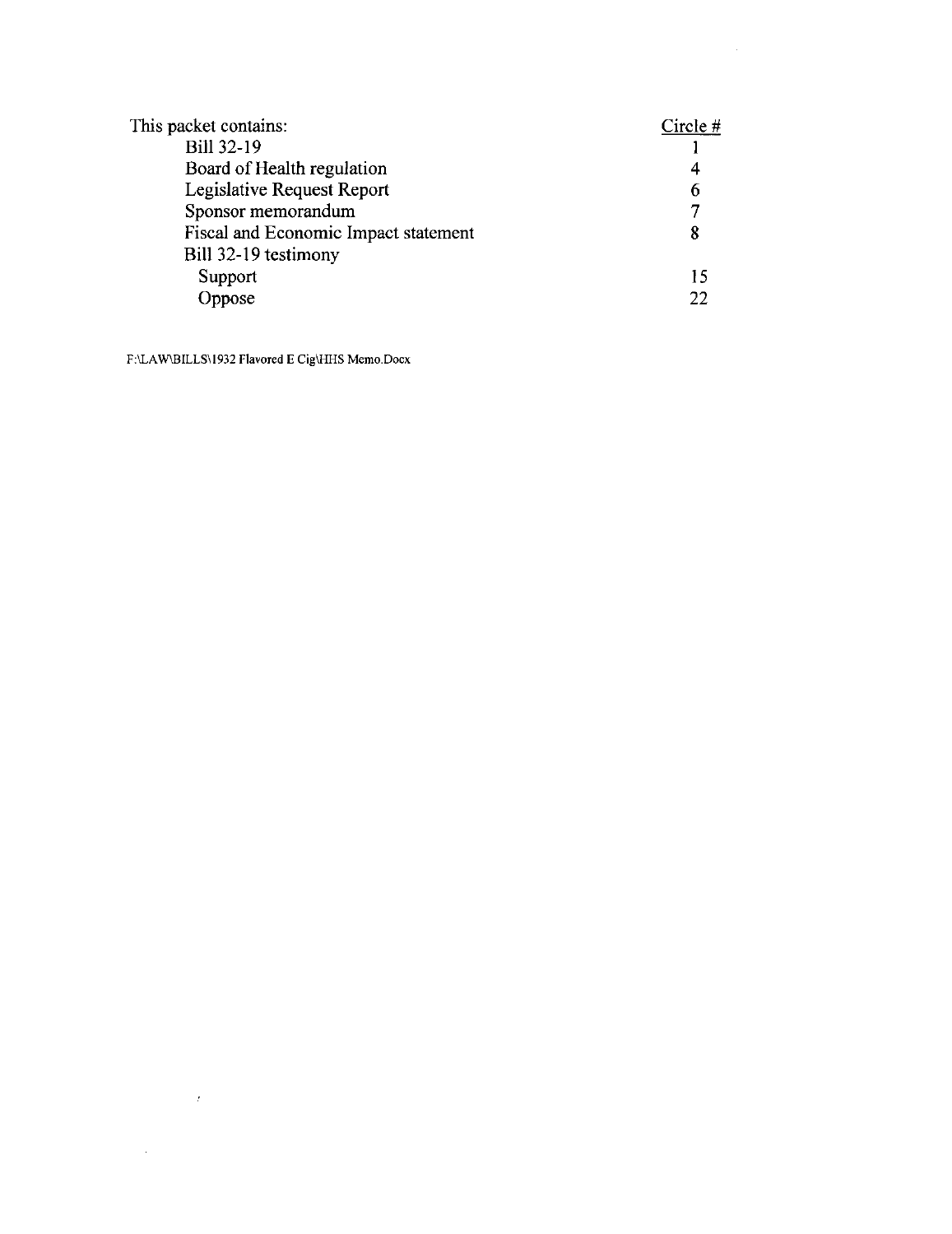| This packet contains:                | Circle $#$ |
|--------------------------------------|------------|
| <b>Bill 32-19</b>                    |            |
| Board of Health regulation           |            |
| Legislative Request Report           |            |
| Sponsor memorandum                   |            |
| Fiscal and Economic Impact statement | 8          |
| Bill 32-19 testimony                 |            |
| Support                              | 15         |
| Oppose                               | 22         |

**F:\LAW\BILLS\1932 Flavored E Cig\HHS Memo.Docx** 

 $\label{eq:2.1} \mathcal{F}_{\text{max}}(t) = \frac{1}{\sqrt{2\pi}} \sum_{i=1}^{\infty} \frac{1}{\sqrt{2\pi}} \sum_{i=1}^{\infty} \frac{1}{\sqrt{2\pi}} \sum_{i=1}^{\infty} \frac{1}{\sqrt{2\pi}} \sum_{i=1}^{\infty} \frac{1}{\sqrt{2\pi}} \sum_{i=1}^{\infty} \frac{1}{\sqrt{2\pi}} \sum_{i=1}^{\infty} \frac{1}{\sqrt{2\pi}} \sum_{i=1}^{\infty} \frac{1}{\sqrt{2\pi}} \sum_{i=1}^{\infty} \frac{1$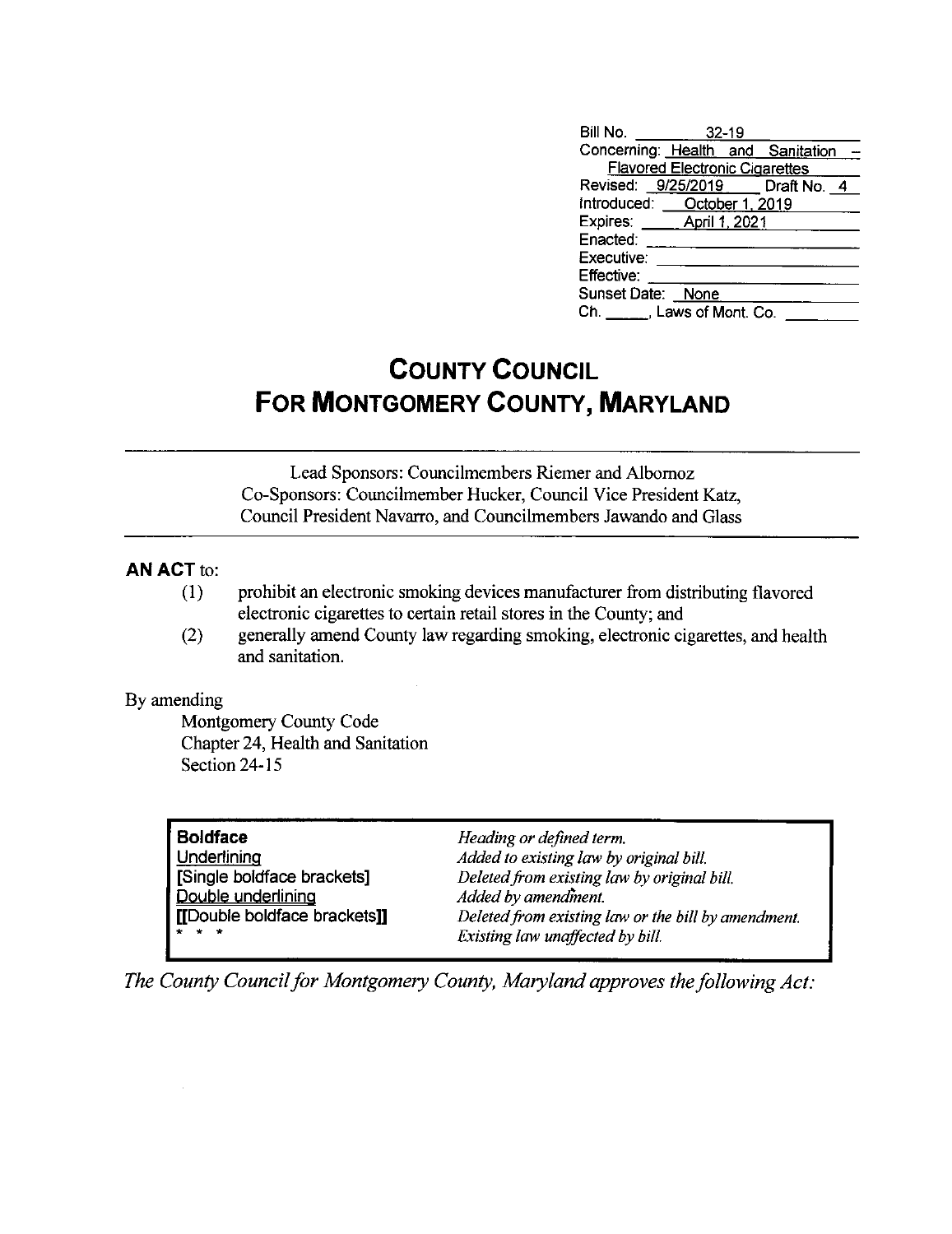| Bill No. 32-19                        |  |  |
|---------------------------------------|--|--|
| Concerning: Health and Sanitation     |  |  |
| <b>Flavored Electronic Cigarettes</b> |  |  |
| Revised: 9/25/2019   Draft No. 4      |  |  |
| Introduced: <b>October 1, 2019</b>    |  |  |
| Expires: ______ April 1, 2021         |  |  |
| Enacted:                              |  |  |
| Executive:                            |  |  |
| Effective:                            |  |  |
| Sunset Date: None                     |  |  |
| Ch. Laws of Mont. Co.                 |  |  |

# **COUNTY COUNCIL FOR MONTGOMERY COUNTY, MARYLAND**

Lead Sponsors: Councilmembers Riemer and Albornoz Co-Sponsors: Councilmember Hucker, Council Vice President Katz, Council President Navarro, and Councilmembers Jawando and Glass

# **AN ACT** to:

- (!) prohibit an electronic smoking devices manufacturer from distributing flavored electronic cigarettes to certain retail stores in the County; and
- (2) generally amend County law regarding smoking, electronic cigarettes, and health and sanitation.

### By amending

Montgomery County Code Chapter 24, Health and Sanitation Section 24-15

| <b>Boldface</b>              | Heading or defined term.                            |
|------------------------------|-----------------------------------------------------|
| Underlining                  | Added to existing law by original bill.             |
| Single boldface brackets]    | Deleted from existing law by original bill.         |
| Double underlining           | Added by amendment.                                 |
| [[Double boldface brackets]] | Deleted from existing law or the bill by amendment. |
| $*$ $*$ $*$                  | Existing law unaffected by bill.                    |

*The County Council for Montgomery County, Maryland approves the following Act:*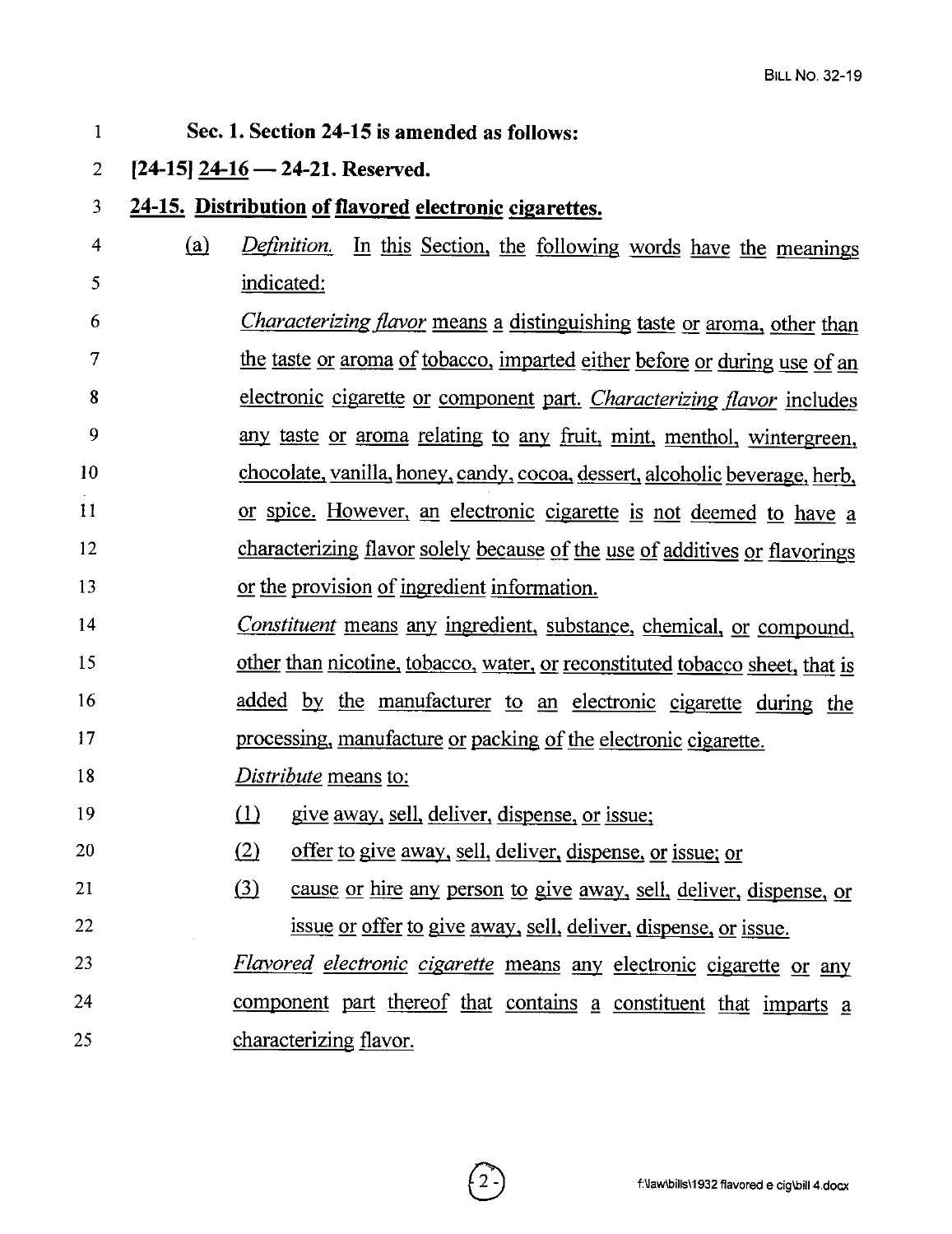I **Sec. 1. Section 24-15 is amended as follows:**  2 **[24-15] 24-16- 24-21. Reserved.**  3 **24-15. Distribution of flavored electronic cigarettes.**  4 (fil *Definition.* In this Section. the following words have the meanings 5 indicated: 6 *Characterizing flavor* means g distinguishing taste or aroma. other than 7 the taste or aroma of tobacco, imparted either before or during use of an 8 electronic cigarette or component part. *Characterizing flavor* includes 9 any taste or aroma relating to any fruit. mint. menthol, wintergreen, Io chocolate. vanilla, honey. candy, cocoa. dessert, alcoholic beverage, herb. 11 or spice. However, an electronic cigarette is not deemed to have a 12 characterizing flavor solely because of the use of additives or flavorings 13 or the provision of ingredient information. 14 *Constituent* means any ingredient, substance, chemical, or compound, 15 other than nicotine, tobacco, water, or reconstituted tobacco sheet, that is 16 added by the manufacturer to an electronic cigarette during the 17 processing, manufacture or packing of the electronic cigarette. 18 *Distribute* means to: 19 20 21 22 23 24 25  $\lim_{x \to \infty}$  give away, sell, deliver, dispense, or issue;  $\Omega$  offer to give away, sell, deliver, dispense, or issue; or (3) cause or hire any person to give away, sell, deliver, dispense, or issue or offer to give away. sell, deliver. dispense. or issue. *Flavored electronic cigarette* means any electronic cigarette or any component part thereof that contains a constituent that imparts a characterizing flavor.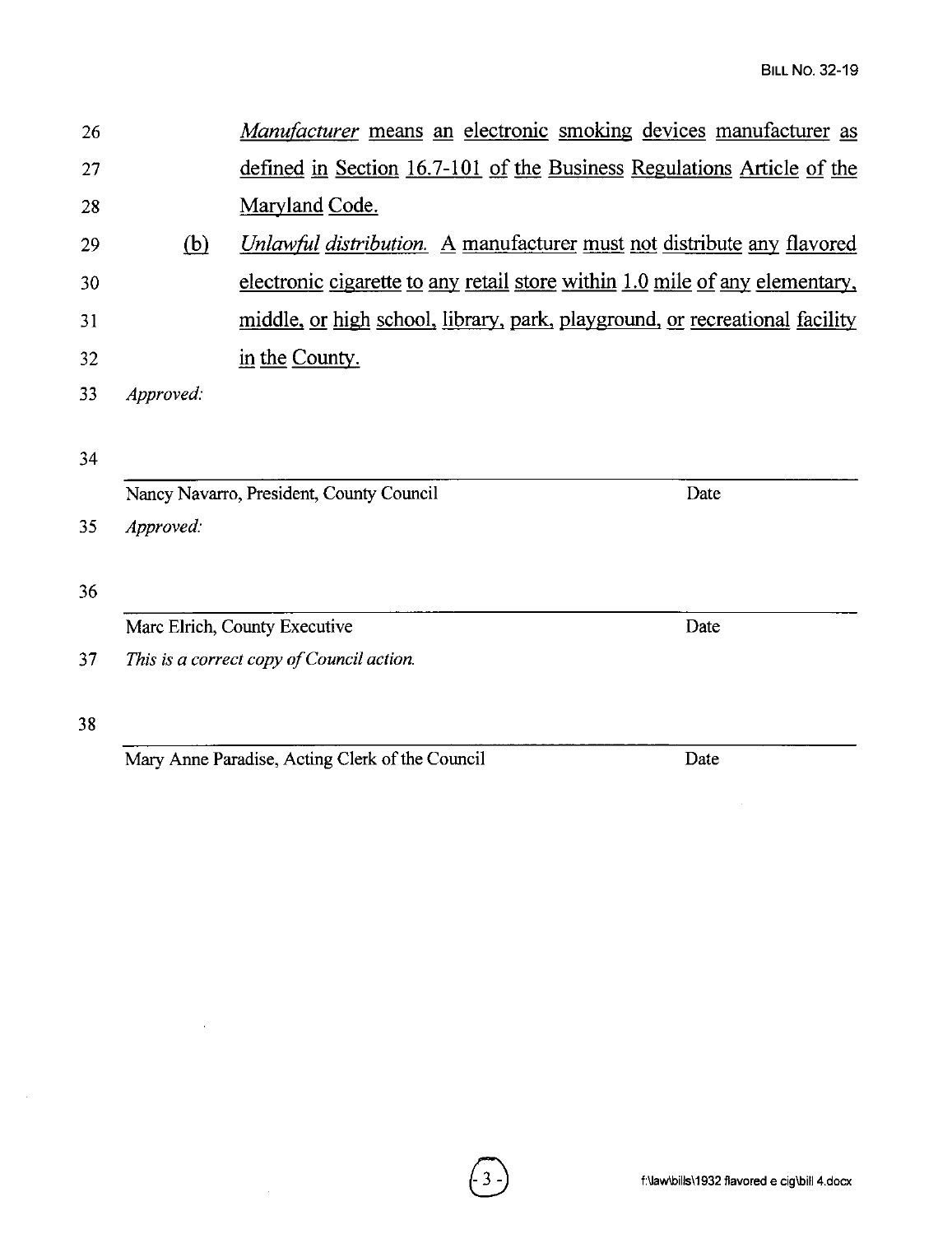Date

Date

Date

- 26 27 28 *Manufacturer* means an electronic smoking devices manufacturer as defined in Section 16.7-101 of the Business Regulations Article of the Maryland Code.
- 29 (hl *Unlawful distribution.* A manufacturer must not distribute any flavored 30 electronic cigarette to any retail store within 1.0 mile of any elementary, 31 middle, or high school, library, park, playground, or recreational facility 32 in the County.

 $\begin{pmatrix} 3 \end{pmatrix}$ 

33 *Approved:* 

34

|  | Nancy Navarro, President, County Council |  |
|--|------------------------------------------|--|

35 *Approved:* 

36

Marc Eirich, County Executive

3 7 *This is a correct copy of Council action.* 

38

Mary Anne Paradise, Acting Clerk of the Council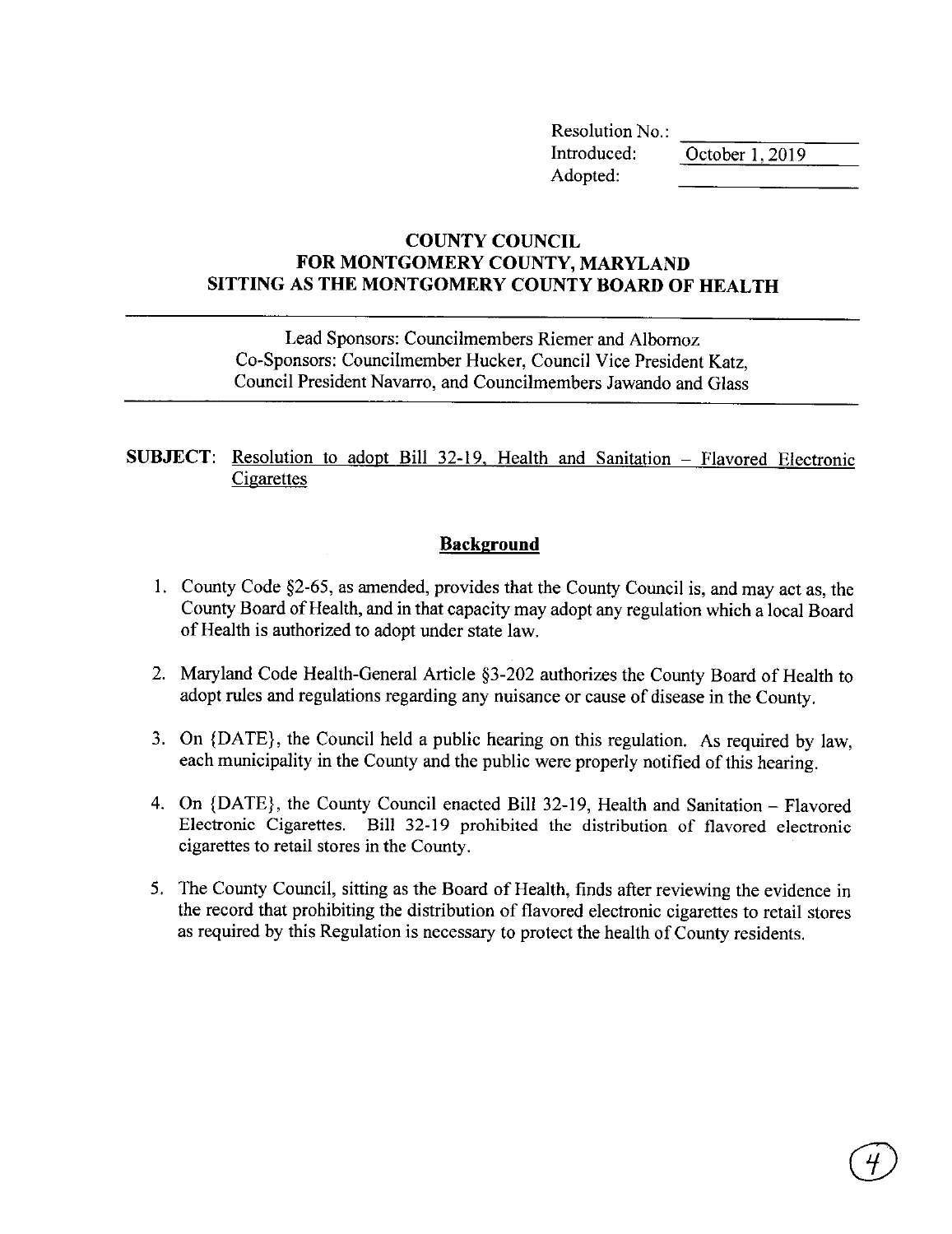Resolution No.:  $\frac{\text{Methoded:}}{\text{October 1, 2019}}$ Adopted:

## **COUNTY COUNCIL FOR MONTGOMERY COUNTY, MARYLAND SITTING AS THE MONTGOMERY COUNTY BOARD OF HEALTH**

Lead Sponsors: Councilmembers Riemer and Albornoz Co-Sponsors: Councilmember Hucker, Council Vice President Katz, Council President Navarro, and Councilmembers Jawando and Glass

## **SUBJECT:** Resolution to adopt Bill 32-19. Health and Sanitation - Flavored Electronic **Cigarettes**

# **Background**

- I. County Code §2-65, as amended, provides that the County Council is, and may act as, the County Board of Health, and in that capacity may adopt any regulation which a local Board of Health is authorized to adopt under state law.
- 2. Maryland Code Health-General Article §3-202 authorizes the County Board of Health to adopt rules and regulations regarding any nuisance or cause of disease in the County.
- 3. On {DATE}, the Council held a public hearing on this regulation. As required by law, each municipality in the County and the public were properly notified of this hearing.
- 4. On {DATE}, the County Council enacted Bill 32-19, Health and Sanitation Flavored Electronic Cigarettes. Bill 32-19 prohibited the distribution of flavored electronic cigarettes to retail stores in the County.
- 5. The County Council, sitting as the Board of Health, finds after reviewing the evidence in the record that prohibiting the distribution of flavored electronic cigarettes to retail stores as required by this Regulation is necessary to protect the health of County residents.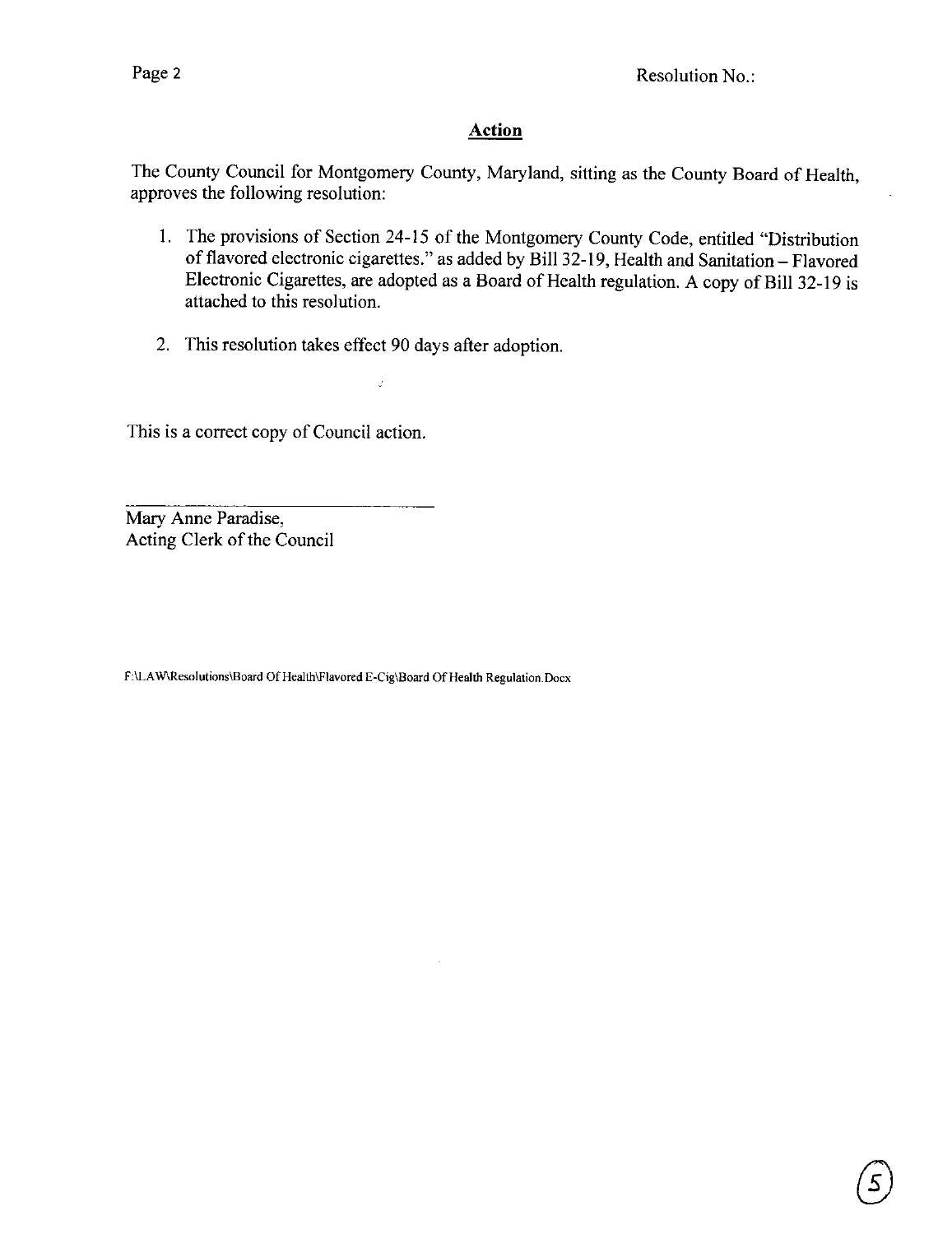# **Action**

The County Council for Montgomery County, Maryland, sitting as the County Board of Health, approves the following resolution:

- 1. The provisions of Section 24-15 of the Montgomery County Code, entitled "Distribution of flavored electronic cigarettes." as added by Bill 32-19, Health and Sanitation - Flavored Electronic Cigarettes, are adopted as a Board of Health regulation. A copy of Bill 32-19 is attached to this resolution.
- 2. This resolution takes effect 90 days after adoption.

 $\overline{a}$ 

This is a correct copy of Council action.

Mary Anne Paradise, Acting Clerk of the Council

**F:\LA W\Resolutions\Board Of Health\Flavored E-Cig\Board Of Health Regulation.Docx**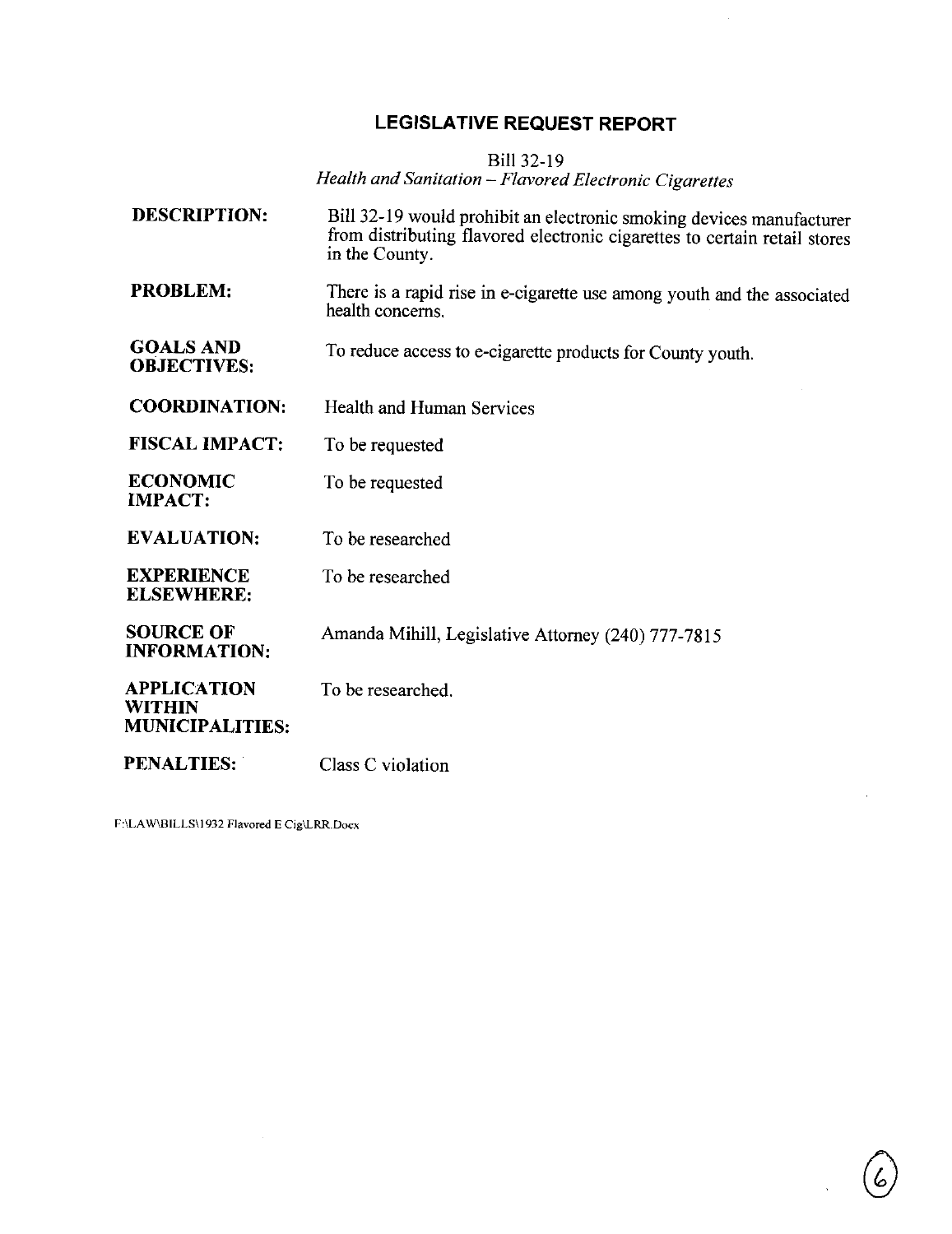# **LEGISLATIVE REQUEST REPORT**

Bill 32-19

*Health and Sanitation* - *Flavored Electronic Cigarettes* 

| <b>DESCRIPTION:</b>                                    | Bill 32-19 would prohibit an electronic smoking devices manufacturer<br>from distributing flavored electronic cigarettes to certain retail stores<br>in the County. |
|--------------------------------------------------------|---------------------------------------------------------------------------------------------------------------------------------------------------------------------|
| <b>PROBLEM:</b>                                        | There is a rapid rise in e-cigarette use among youth and the associated<br>health concerns.                                                                         |
| <b>GOALS AND</b><br><b>OBJECTIVES:</b>                 | To reduce access to e-cigarette products for County youth.                                                                                                          |
| <b>COORDINATION:</b>                                   | Health and Human Services                                                                                                                                           |
| <b>FISCAL IMPACT:</b>                                  | To be requested                                                                                                                                                     |
| <b>ECONOMIC</b><br><b>IMPACT:</b>                      | To be requested                                                                                                                                                     |
| <b>EVALUATION:</b>                                     | To be researched                                                                                                                                                    |
| <b>EXPERIENCE</b><br><b>ELSEWHERE:</b>                 | To be researched                                                                                                                                                    |
| <b>SOURCE OF</b><br><b>INFORMATION:</b>                | Amanda Mihill, Legislative Attorney (240) 777-7815                                                                                                                  |
| <b>APPLICATION</b><br>WITHIN<br><b>MUNICIPALITIES:</b> | To be researched.                                                                                                                                                   |
| <b>PENALTIES:</b>                                      | Class C violation                                                                                                                                                   |

**F:\LA W\BILLS\l 932 Flavored E Cig\LRR.Docx**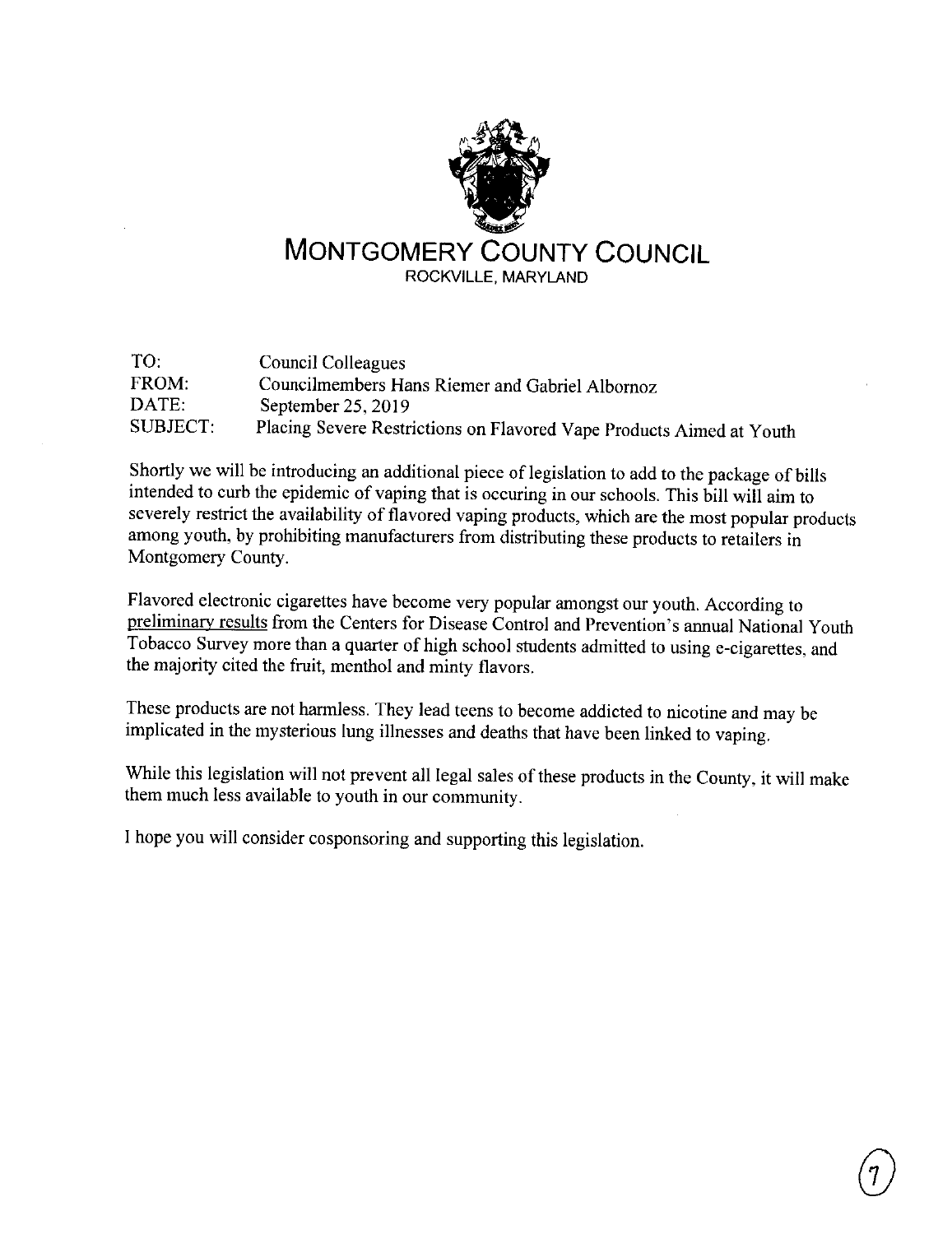

| TO:      | Council Colleagues                                                   |
|----------|----------------------------------------------------------------------|
| FROM:    | Councilmembers Hans Riemer and Gabriel Albornoz                      |
| DATE:    | September $25, 2019$                                                 |
| SUBJECT: | Placing Severe Restrictions on Flavored Vape Products Aimed at Youth |

Shortly we will be introducing an additional piece of legislation to add to the package of bills intended to curb the epidemic of vaping that is occuring in our schools. This bill will aim to severely restrict the availability of flavored vaping products, which are the most popular products among youth, by prohibiting manufacturers from distributing these products to retailers in Montgomery County.

Flavored electronic cigarettes have become very popular amongst our youth. According to preliminary results from the Centers for Disease Control and Prevention's annual National Youth Tobacco Survey more than a quarter of high school students admitted to using e-cigarettes, and the majority cited the fruit, menthol and minty flavors.

These products are not harmless. They lead teens to become addicted to nicotine and may be implicated in the mysterious lung illnesses and deaths that have been linked to vaping.

While this legislation will not prevent all legal sales of these products in the County, it will make them much less available to youth in our community.

I hope you will consider cosponsoring and supporting this legislation.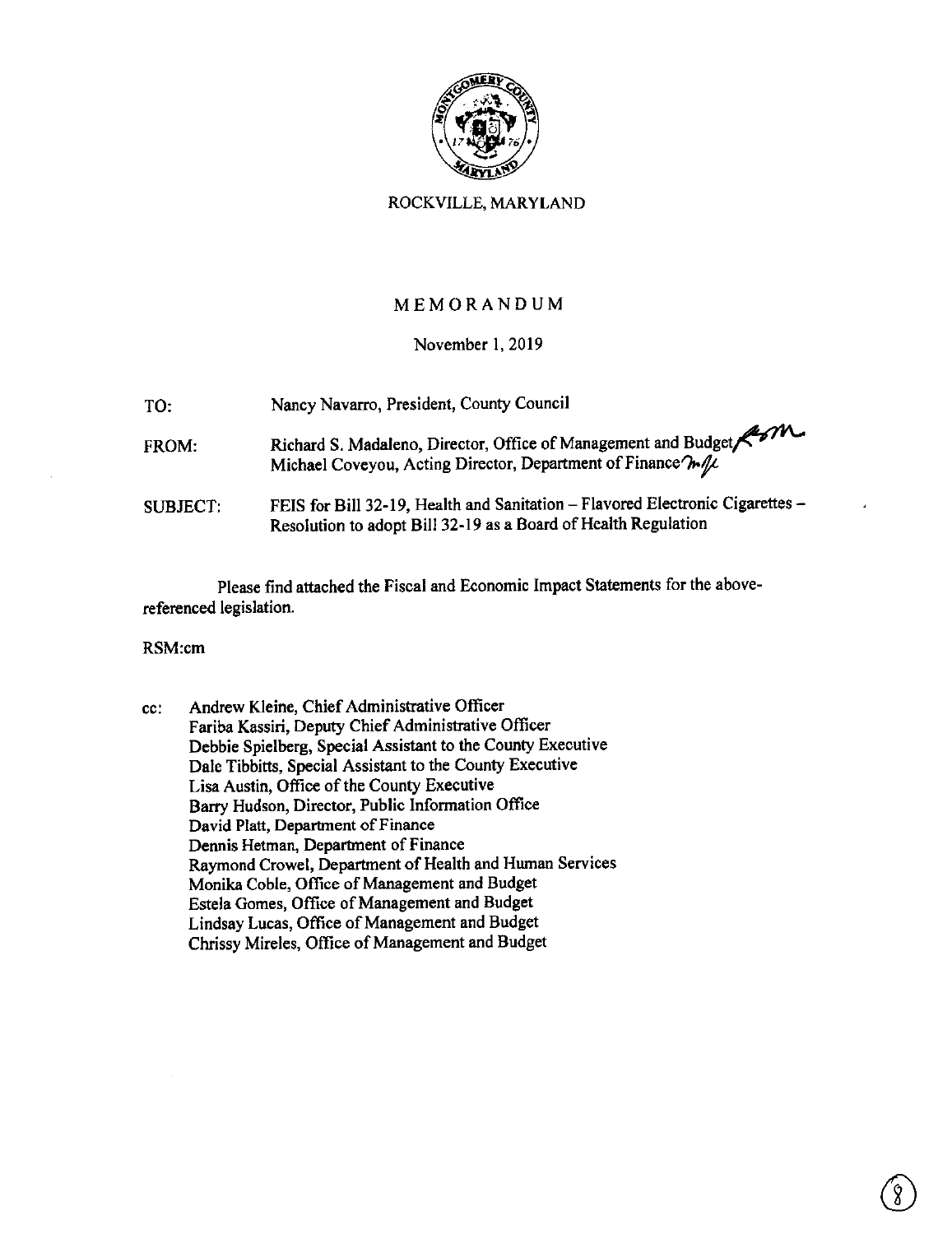

### ROCKVILLE, MARYLAND

## MEMORANDUM

### November I, 2019

TO: Nancy Navarro, President, County Council

- FROM: Richard S. Madaleno, Director, Office of Management and Budget Michael Coveyou, Acting Director, Department of Finance $\partial \mathbf{h} / \mathbf{\mu}$ .
- SUBJECT: FEIS for Bill 32-19, Health and Sanitation-Flavored Electronic Cigarettes-Resolution to adopt Bill 32-19 as a Board of Health Regulation

Please find attached the Fiscal and Economic Impact Statements for the abovereferenced legislation.

#### RSM:cm

cc: Andrew Kleine, Chief Administrative Officer Fariba Kassiri, Deputy Chief Administrative Officer Debbie Spielberg, Special Assistant to the County Executive Dale Tibbitts, Special Assistant to the County Executive Lisa Austin, Office of the County Executive Barry Hudson, Director, Public Information Office David Platt, Department of Finance Dennis Hetman, Department of Finance Raymond Crowe!, Department of Health and Human Services Monika Coble, Office of Management and Budget Estela Gomes, Office of Management and Budget Lindsay Lucas, Office of Management and Budget Chrissy Mireles, Office of Management and Budget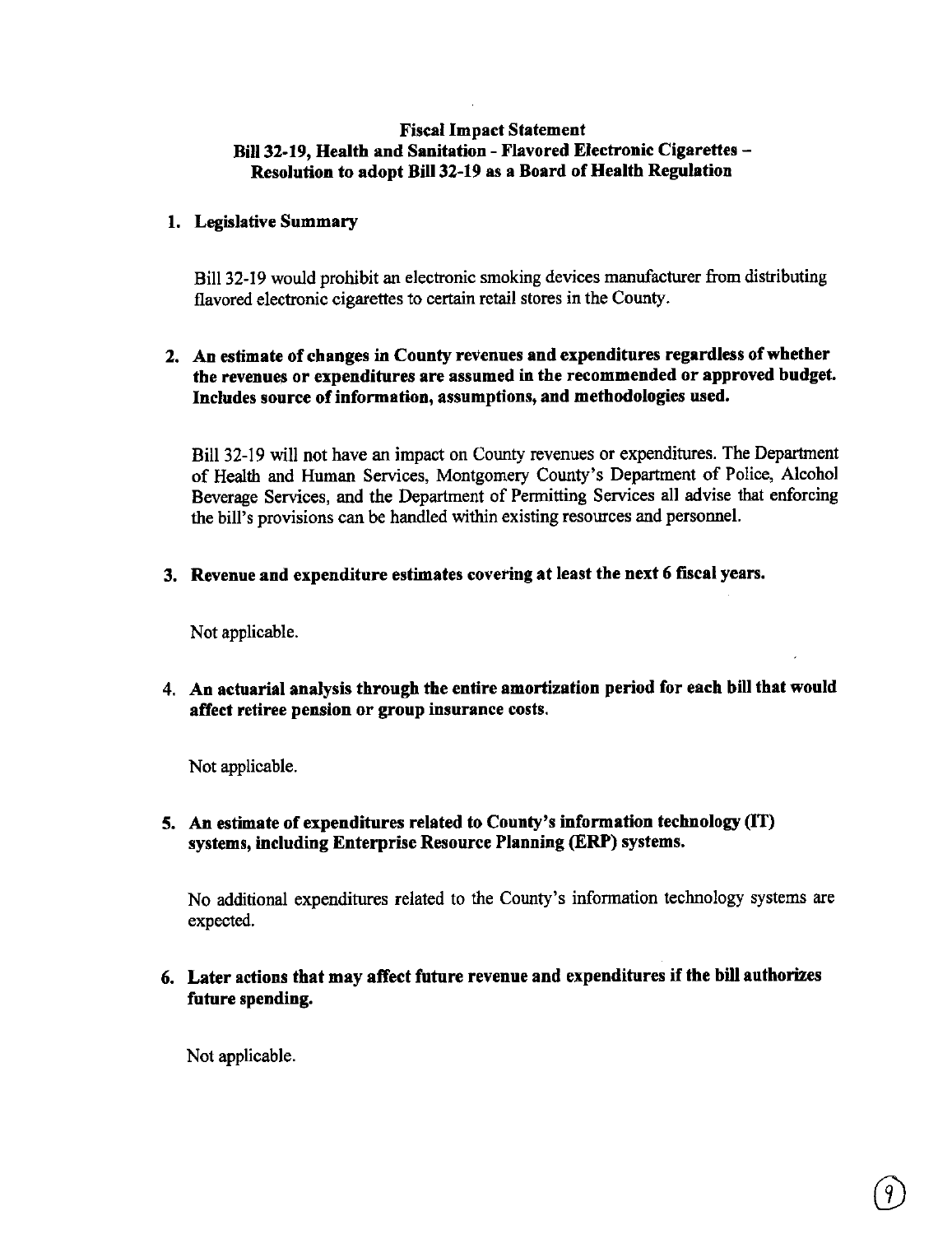### **Fiscal Impact Statement Bill 32-19, Health and Sanitation** - **Flavored Electronic Cigarettes** - **Resolution to adopt Bill 32-19 as a Board of Health Regulation**

### **l. Legislative Summary**

Bill 32-19 would prohibit an electronic smoking devices manufacturer from distributing flavored electronic cigarettes to certain retail stores in the County.

## **2. An estimate of changes** in **County revenues and expenditures regardless of whether the revenues or expenditures are assumed in the recommended or approved budget. Includes source of information, assumptions, and methodologies used.**

Bill 32-19 will not have an impact on County revenues or expenditures. The Department of Health and Human Services, Montgomery County's Department of Police, Alcohol Beverage Services, and the Department of Permitting Services all advise that enforcing the bill's provisions can be handled within existing resources and personnel.

**3. Revenue and expenditure estimates covering at least the next 6 fiscal years.** 

Not applicable.

4. **An actuarial analysis through the entire amortization period for each bill that would affect retiree pension or group insurance costs.** 

Not applicable.

**5. An estimate of expenditures related to County's information technology** (IT) **systems, including Enterprise Resource Planning (ERP) systems.** 

No additional expenditures related to the County's information technology systems are expected.

**6. Later actions that may affect future revenue and expenditures** if **the bill authorizes future spending.** 

Not applicable.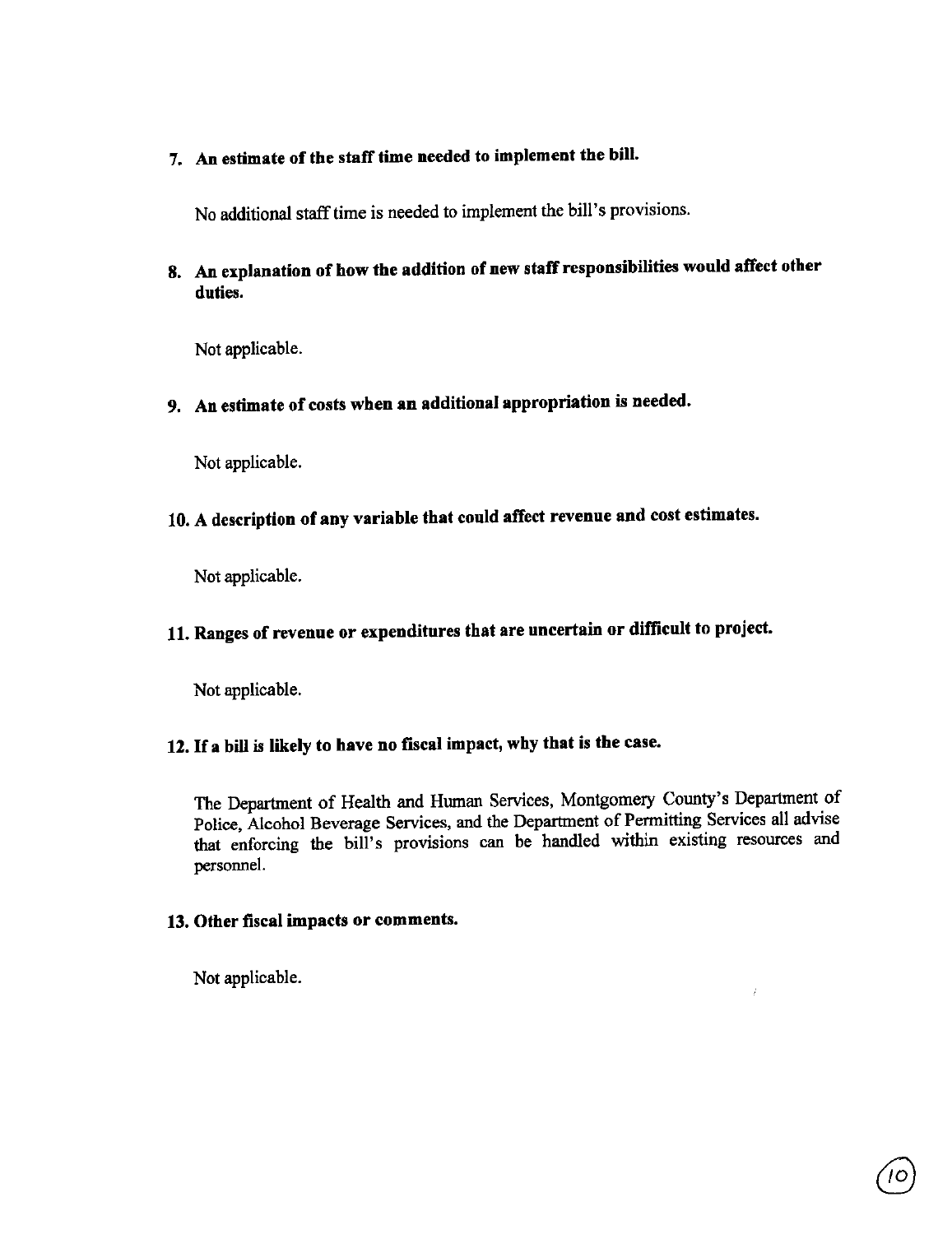# **7. An estimate of the staff time needed to implement the bill.**

No additional staff time is needed to implement the bill's provisions.

**8. An explanation of how the addition of new staff responsibilities would affect other duties.** 

Not applicable.

9. An estimate of costs when an additional appropriation is needed.

Not applicable.

# 10. A description of any variable that could affect revenue and cost estimates.

Not applicable.

# **11. Ranges of revenue or expenditures that are uncertain or difficult to project.**

Not applicable.

# 12. If **a bill** is **likely to have no fiscal impact, why that is the case.**

The Department of Health and Human Services, Montgomery County's Department of Police, Alcohol Beverage Services, and the Department of Permitting Services all advise that enforcing the bill's provisions can be handled within existing resources and personnel.

 $\hat{I}$ 

### **13. Other fiscal impacts or comments.**

Not applicable.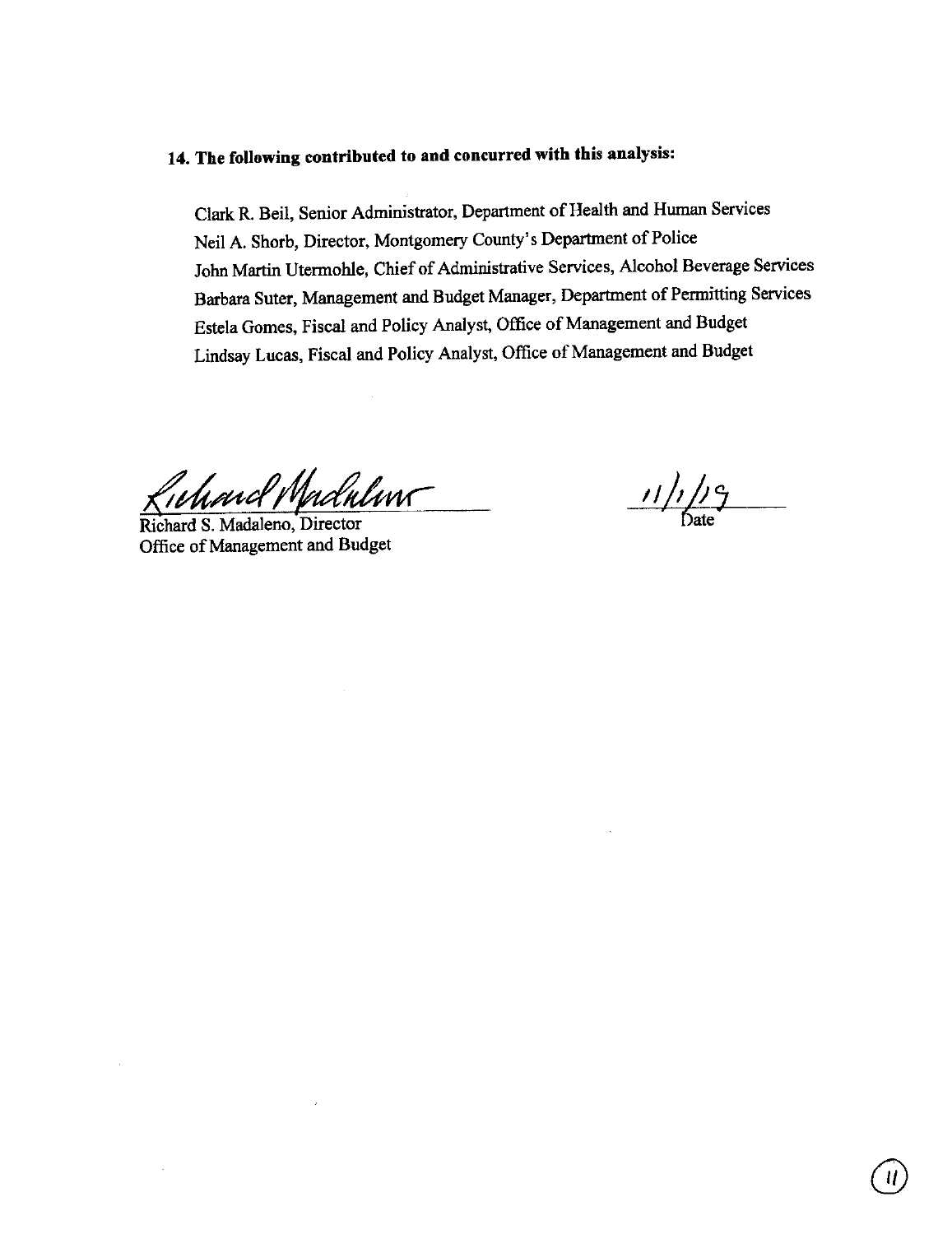# **14. The following contributed to and concurred with this analysis:**

Clark R. Beil, Senior Administrator, Department of Health and Human Services Neil A. Shorb, Director, Montgomery County's Department of Police John Martin Utermohle, Chief of Administrative Services, Alcohol Beverage Services Barbara Suter, Management and Budget Manager, Department of Permitting Services Estela Gomes, Fiscal and Policy Analyst, Office of Management and Budget Lindsay Lucas, Fiscal and Policy Analyst, Office of Management and Budget

and Madulun $\tau$ 

Richard S. Madaleno, Director Office of Management and Budget

*11/,/;7*  ' Date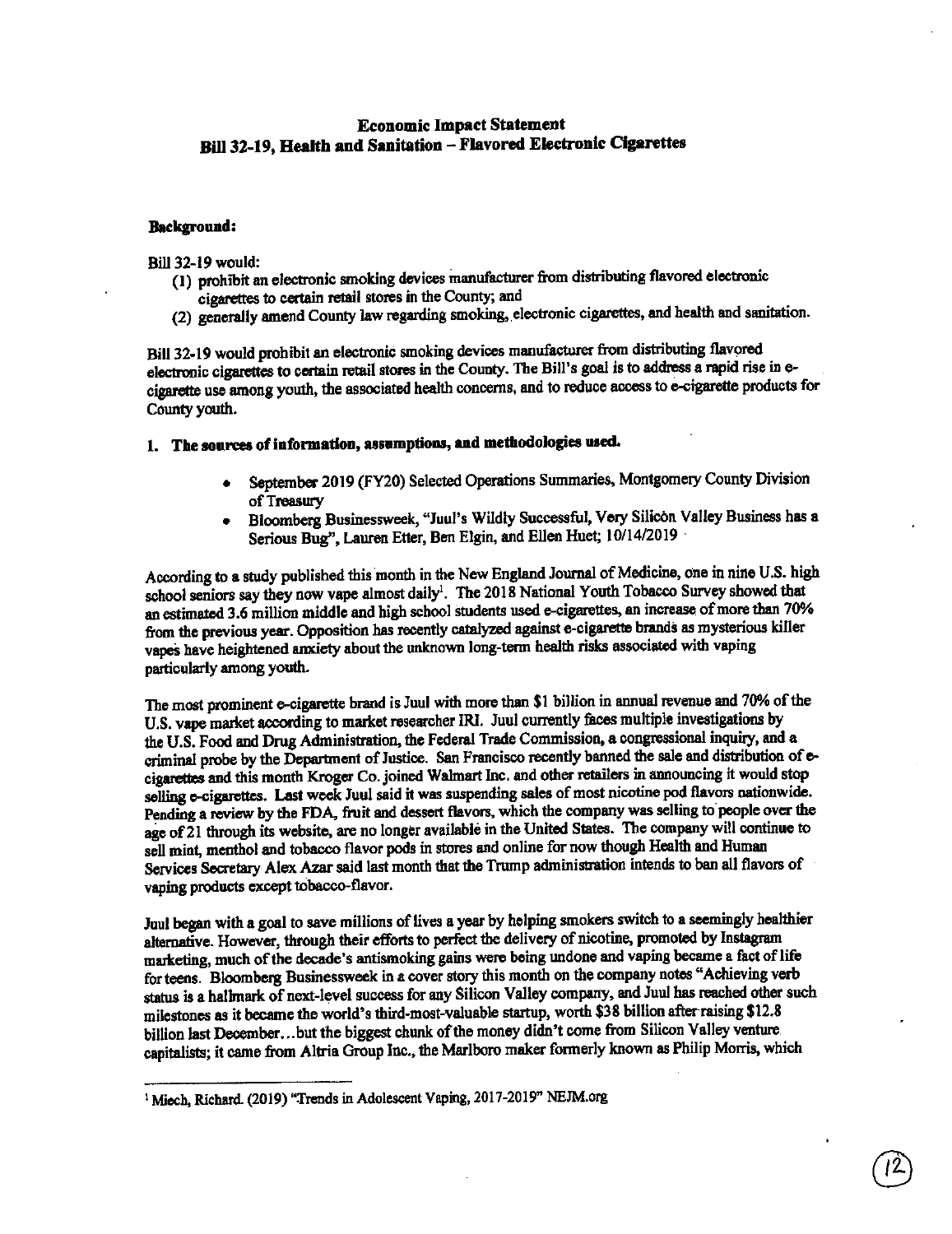### **Economic Impact Statement Bill 32-19, Health and Sanitation - Flavored Electronic Cigarettes**

#### **Background:**

Bill 32-19 would:

- (I) prohibit an electronic smoking devices manufacturer from distributing flavored electronic cigarettes to certain retail stores in the County; and
- (2) generally amend County law regarding smoking, electronic cigarettes, and health and sanitation.

Bill 32-19 would prohibit an electronic smoking devices manufacturer from distributing flavored electronic cigarettes to certain retail stores in the County. The Bill's goal is to address a rapid rise in ecigarette use among youth, the associated health concerns, and to reduce access to e-cigarette products for County youth.

### 1. The sources of information, assumptions, and methodologies used.

- September 2019 (FY20) Selected Operations Summaries, Montgomery County Division of Treasury
- Bloomberg Businessweek, "Juul's Wildly Successful, Very Silicon Valley Business has <sup>a</sup> Serious Bug", Lauren Etter, Ben Elgin, and Ellen Huet; 10/14/2019

According to **a** study published this month in the New England Journal of Medicine, one in nine U.S. high school seniors say they now vape almost daily<sup>1</sup>. The 2018 National Youth Tobacco Survey showed that an estitnated 3.6 million middle and high school students used e-cigarettes, an increase of more than 70% from the previous year. Opposition has recently catalyzed against e-cigarette brands as mysterious killer vapes have heightened anxiety about the unknown long-term health risks associated with vaping particularly among youth.

The most prominent e-cigarette brand is Juul with more than \$1 billion in annual revenue and 70% of the U.S. vape market according to market researcher IRI. Juul currently faces multiple investigations by the U.S. Food and Drug Administration, the Federal Trade Commission, a congressional inquiry, and <sup>a</sup> criminal probe by the Department of Justice. San Francisco recently banned the sale and distribution of ecigarettes and this month Kroger Co. joined Walmart Inc. and other retailers in announcing it would stop selling e-cigarettes. Last week Juul said it was suspending sales of most nicotine pod flavors nationwide. Pending a review by the FDA, fruit and dessert flavors, which the company was selling to people over the age of 21 through its website, are no longer available in the United States. The company will continue to sell mint, menthol and tobacco flavor pods in stores and online for now though Health and Human Services Secretary Alex Azar said last month that the Trump administration intends to ban all flavors of vaping products except tobacco-flavor.

Juul began with a goal to save millions of lives **a** year by he 1ping smokers switch to **a** seemingly healthier alternative. However, through their efforts to perfect the delivery of nicotine, promoted by Instagram marketing, much of the decade's antismoking gains were being undone and vaping became a fact of life for teens. Bloomberg Businessweek in a cover story this month on the company notes "Achieving verb status is a halhnark of next-level success for any Silicon Valley company, and Juul has reached other such milestones as it became the world's third-most-valuable startup, worth \$38 billion after raising \$12.8 billion last December ... but the biggest chunk of the money didn't come from Silicon Valley venture capitalists; it came from Altria Group Inc., the Marlboro maker formerly known as Philip Morris, which

<sup>&</sup>lt;sup>1</sup> Miech, Richard. (2019) "Trends in Adolescent Vaping, 2017-2019" NEJM.org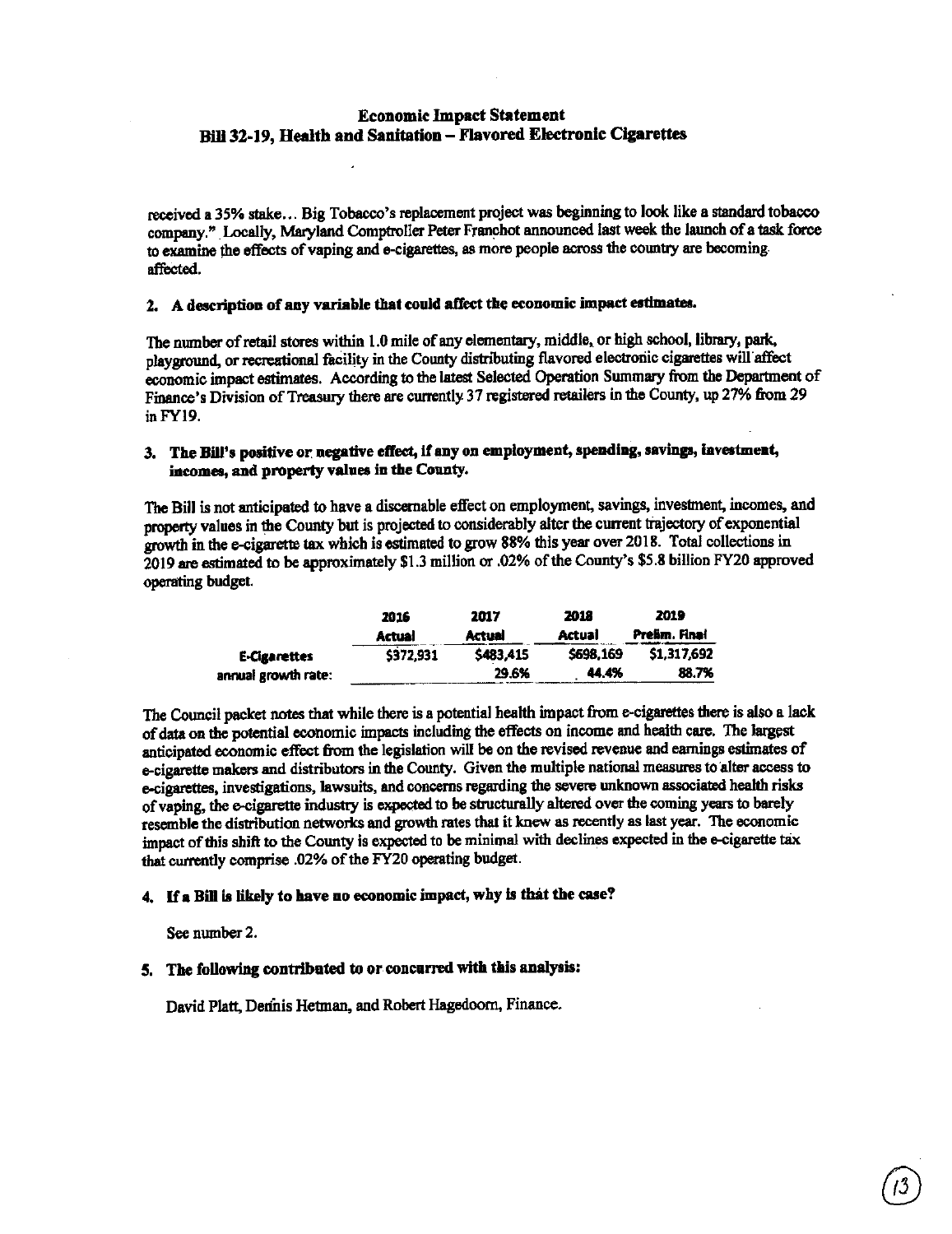### **Economic Impact Statement Bill 32-19, Health and Sanitation** - **Flavored Electronic Cigarettes**

received **a** 35¾ stake ... Big Tobacco's replacement project was beginning to look like a standard tobacco company." Locally, Maryland Comptroller Peter Franchot announced last week the launch of a task force to examine the effects of vaping and e-cigarettes, as more people across the country are becoming affected.

#### 2. **A description** of **any variable that could affect the economic impact estimates.**

The number of retail stores within 1.0 mile of any elementary, middle, or high school, library, puk, playground, or recreational facility in the County distributing flavored electronic cigarettes will affect economic impact estimates. According to the latest Selected Operation Summary from the Department of Finance's Division of Treasury there are currently 37 registered retailers in the County, up 27¾ from 29 inFY19.

### 3. **The Bill's positive** or **negative effect, If any on employment, spending, savings,** lnvestme t, incomes, and property values in the County.

The Bill is not anticipated to have a discernable effect on employment, savings, investment, incomes, and property values in the County but is projected to considerably alter the current trajectory of exponential growth in the e-cigarette tax which is estimated to grow 88% this year over 2018. Total collections in 2019 are estimated to be approximately \$1.3 million or .02% of the County's \$5.8 billion FY20 approved operating budget.

|                     | 2016          | 2017      | 2018      | 2019          |  |
|---------------------|---------------|-----------|-----------|---------------|--|
|                     | <b>Actual</b> | Actual    | Actual    | Prelim, Final |  |
| <b>E-Cigarettes</b> | \$372,931     | \$483,415 | \$698.169 | \$1,317,692   |  |
| annual growth rate: |               | 29.6%     | 44.4%     | 88.7%         |  |
|                     |               |           |           |               |  |

The Council packet notes that while there is a potential health impact from e-cigarettes there is also a lack of data on the potential economic impacts including the effects on income and health care. The largest anticipated economic effect from the legislation will be on the revised revenue and earnings estimates of e-cigarette makers and distributors in the County. Given the multiple national measures to alter access to e-cigamtes, investigations, lawsuits, and concerns regarding the severe unknown associated heahh risks of vaping, the e-cigarette industry is expected to be structurally altered over the coming years to barely resemble the distribution networks and growth rates that it knew as recently as last year. The economic impact of this shift to the County is expected to be minimal with declines expected in the e-cigarette tax that currently comprise .02% of the FY20 operating budget.

### **4.** If **a Bill** is **likely to have no economic impact, why** is **that the case?**

Sec number 2.

#### **5, The following contributed to or concurred with this analysis:**

David Platt, Demnis Hetman, and Robert Hagedoorn, Finance.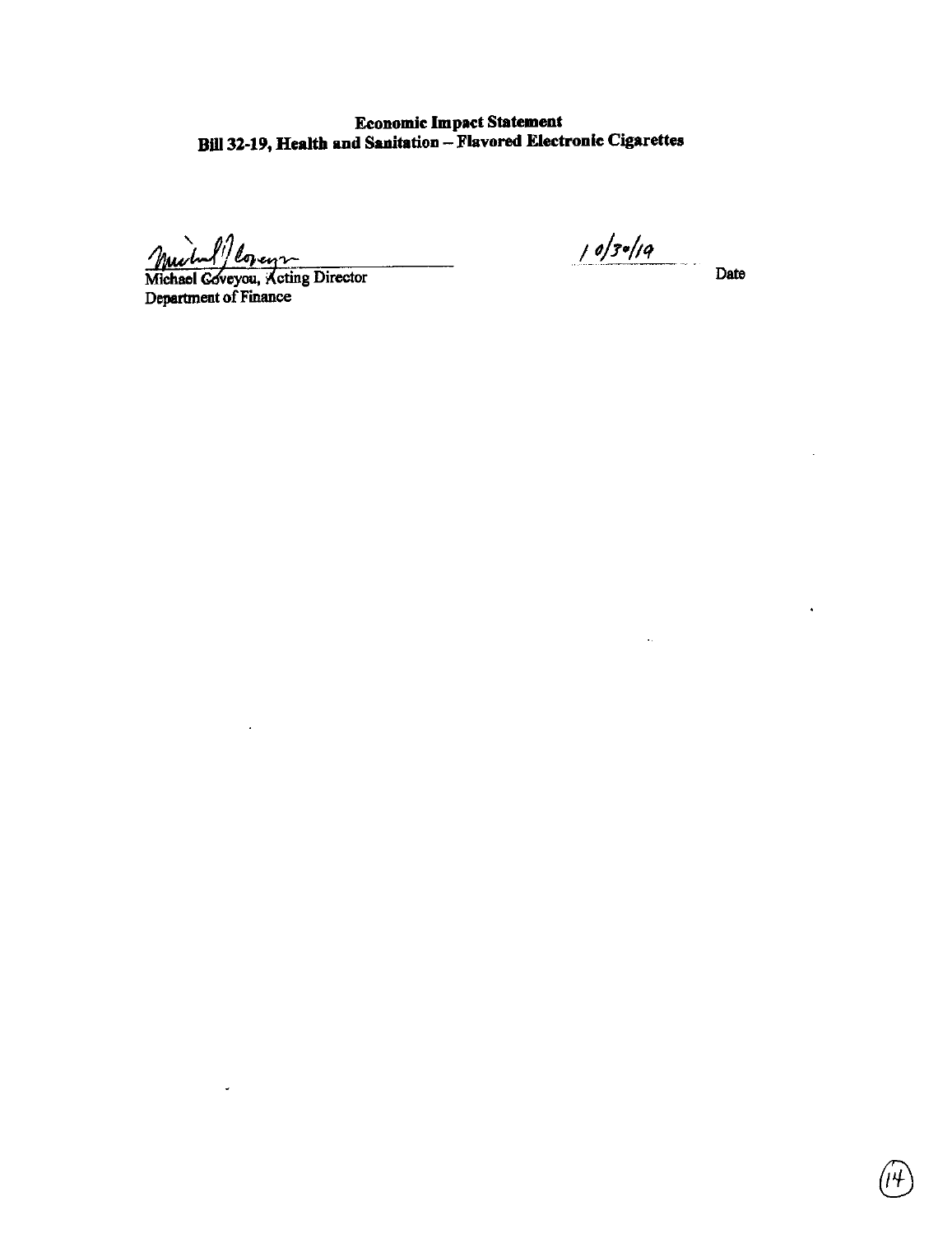Economic **Impact** Statement **Bill** 32-19, Health and Sanitation - Flavored Electronic Cigarettes

min/ loven

 $\downarrow$ 

 $\frac{M_1}{M_2}$  Date Director Date Director Date Department of Finance

l,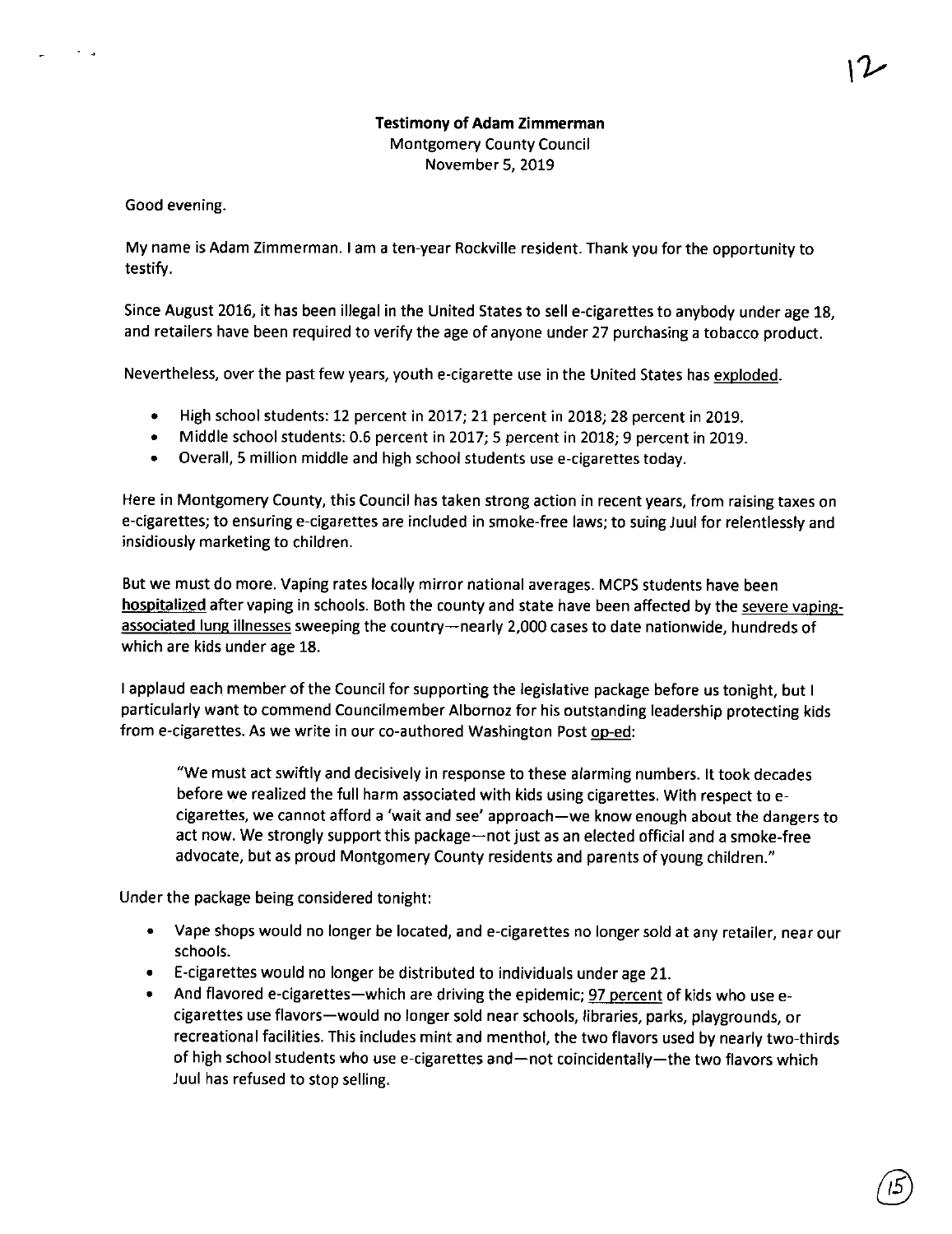### **Testimony of Adam Zimmerman**  Montgomery County Council November 5, 2019

Good evening.

My name is Adam Zimmerman. I am a ten-year Rockville resident. Thank you for the opportunity to testify.

Since August 2016, it has been illegal in the United States to sell e-cigarettes to anybody under age 18, and retailers have been required to verify the age of anyone under 27 purchasing a tobacco product.

Nevertheless, over the past few years, youth e-cigarette use in the United States has exploded.

- High school students: 12 percent in 2017; 21 percent in 2018; 28 percent in 2019.
- Middle school students: 0.6 percent in 2017; 5 percent in 2018; 9 percent in 2019.
- Overall, 5 million middle and high school students use e-cigarettes today.

Here in Montgomery County, this Council has taken strong action in recent years, from raising taxes on e-cigarettes; to ensuring e-cigarettes are included in smoke-free laws; to suing Juul for relentlessly and insidiously marketing to children.

But we must do more. Vaping rates locally mirror national averages. MCPS students have been hospitalized after vaping in schools. Both the county and state have been affected by the severe vapingassociated lung illnesses sweeping the country-nearly 2,000 cases to date nationwide, hundreds of which are kids under age 18.

I applaud each member of the Council for supporting the legislative package before us tonight, but I particularly want to commend Councilmember Albornoz for his outstanding leadership protecting kids from e-cigarettes. As we write in our co-authored Washington Post op-ed:

"We must act swiftly and decisively in response to these alarming numbers. It took decades before we realized the full harm associated with kids using cigarettes. With respect toecigarettes, we cannot afford a 'wait and see' approach-we know enough about the dangers to act now. We strongly support this package-not just as an elected official and a smoke-free advocate, but as proud Montgomery County residents and parents of young children."

Under the package being considered tonight:

- Vape shops would no longer be located, and e-cigarettes no longer sold at any retailer, near our schools.
- E-cigarettes would no longer be distributed to individuals under age 21.
- And flavored e-cigarettes-which are driving the epidemic; 97 percent of kids who use ecigarettes use flavors-would no longer sold near schools, libraries, parks, playgrounds, or recreational facilities. This includes mint and menthol, the two flavors used by nearly two-thirds of high school students who use e-cigarettes and-not coincidentally-the two flavors which Juul has refused to stop selling.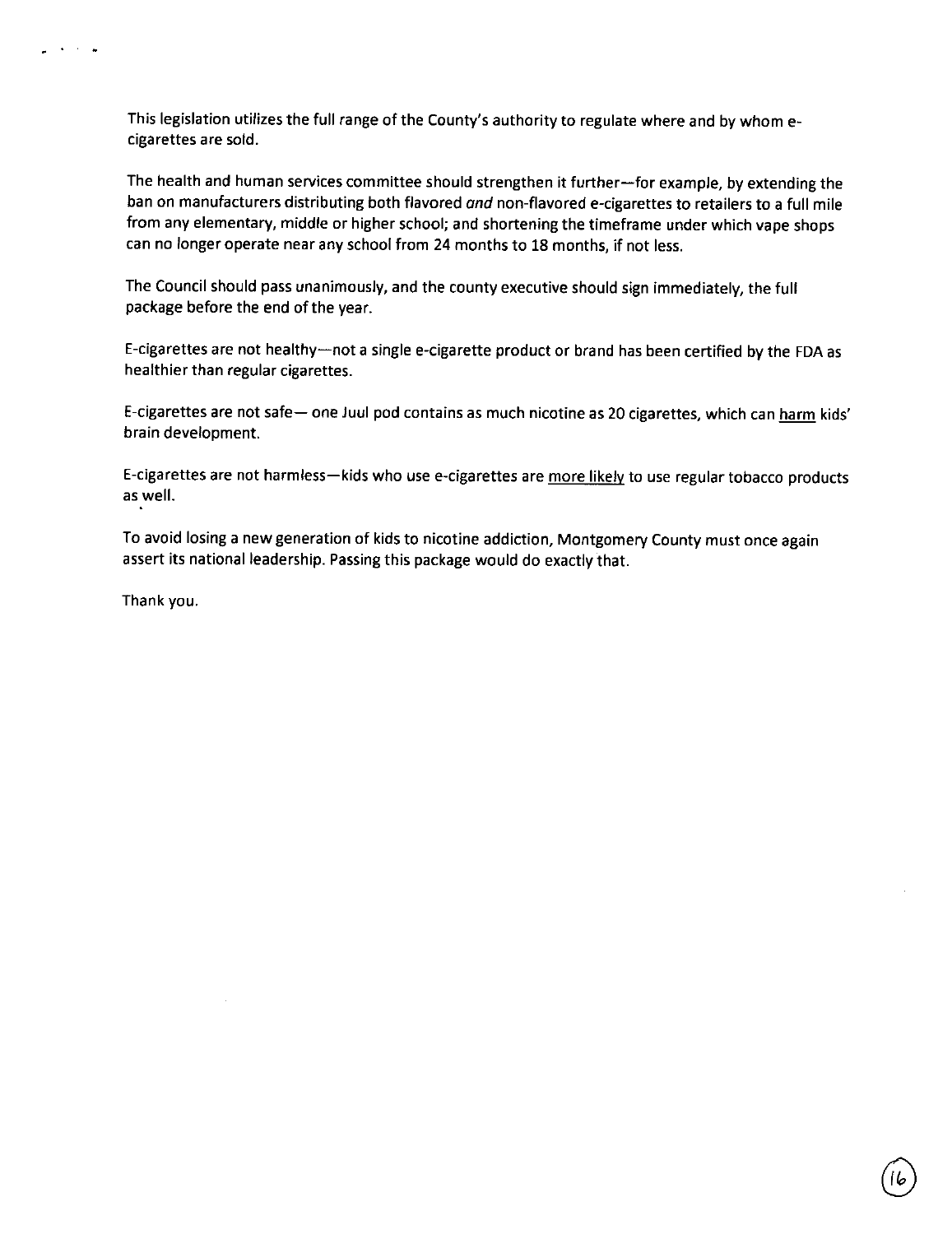This legislation utilizes the full range of the County's authority to regulate where and by whom ecigarettes are sold.

The health and human services committee should strengthen it further-for example, by extending the ban on manufacturers distributing both flavored and non-flavored e-cigarettes to retailers to a full mile from any elementary, middle or higher school; and shortening the timeframe under which vape shops can no longer operate near any school from 24 months to 18 months, if not less.

The Council should pass unanimously, and the county executive should sign immediately, the full package before the end of the year.

E-cigarettes are not healthy-not a single e-cigarette product or brand has been certified by the FDA as healthier than regular cigarettes.

E-cigarettes are not safe- one Juul pod contains as much nicotine as 20 cigarettes, which can harm kids' brain development.

E-cigarettes are not harmless-kids who use e-cigarettes are more likely to use regular tobacco products as well.

To avoid losing a new generation of kids to nicotine addiction, Montgomery County must once again assert its national leadership. Passing this package would do exactly that.

Thank you.

 $\sim 10^{-11}$  $\ddot{\phantom{a}}$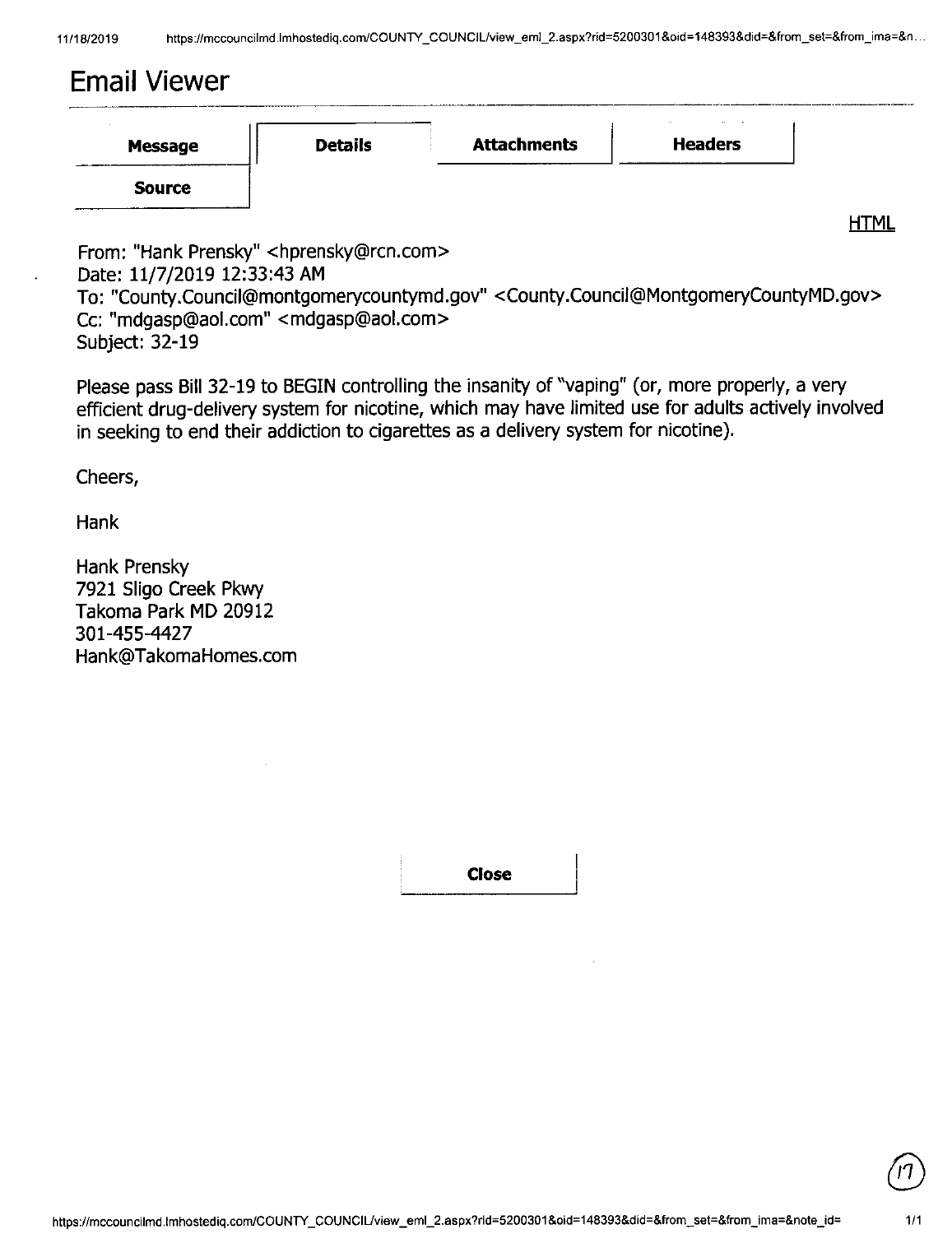# **Email Viewer**

| Message       | <b>Details</b> | <b>Attachments</b> | <b>Headers</b> |
|---------------|----------------|--------------------|----------------|
| <b>Source</b> |                |                    |                |

**HTML** 

From: "Hank Prensky" <hprensky@rcn.com> Date: 11/7/2019 12:33:43 **AM**  To: "County.Council@montgomerycountymd.gov" <County.Council@MontgomeryCountyMD.gov> Cc: "mdgasp@aol.com" <mdgasp@aol.com> Subject: 32-19

Please pass Bill 32-19 to BEGIN controlling the insanity of "vaping" ( or, more properly, a very efficient drug-delivery system for nicotine, which may have limited use for adults actively involved in seeking to end their addiction to cigarettes as a delivery system for nicotine).

Cheers,

Hank

Hank Prensky 7921 Sligo Creek Pkwy Takoma Park MD 20912 301-455-4427 Hank@TakomaHomes.com

**Close**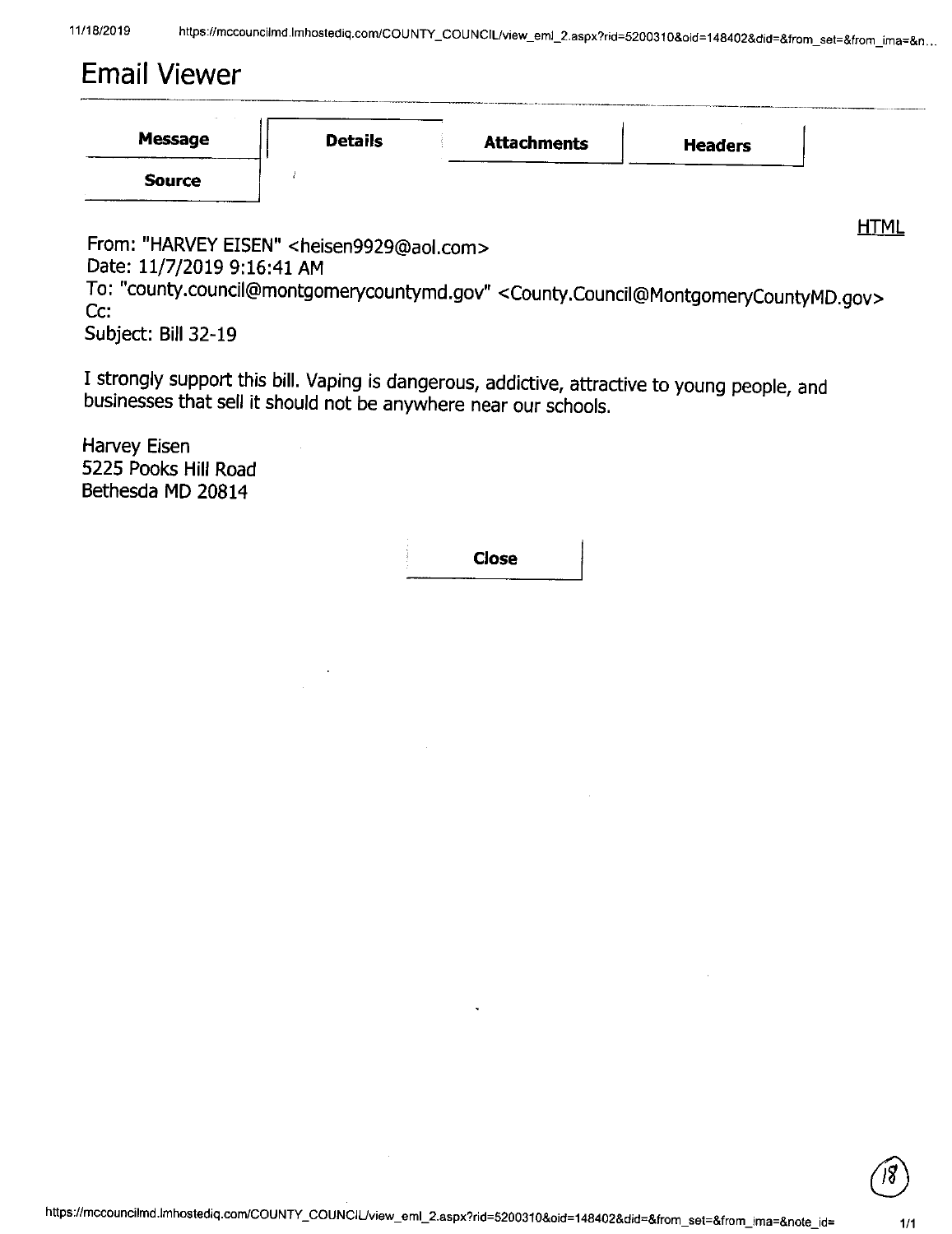# Email Viewer

From: "HARVEY EISEN" <heisen9929@aol.com> Date: 11/7/2019 9:16:41 AM

To: "county.council@montgomerycountymd.gov" <County.Council@MontgomeryCountyMD.gov> Cc:

Subject: Bill 32-19

I strongly support this bill. Vaping is dangerous, addictive, attractive to young people, and businesses that sell it should not be anywhere near our schools.

Harvey Eisen 5225 Pocks Hill Road Bethesda MD 20814

**Close** 



**HTML**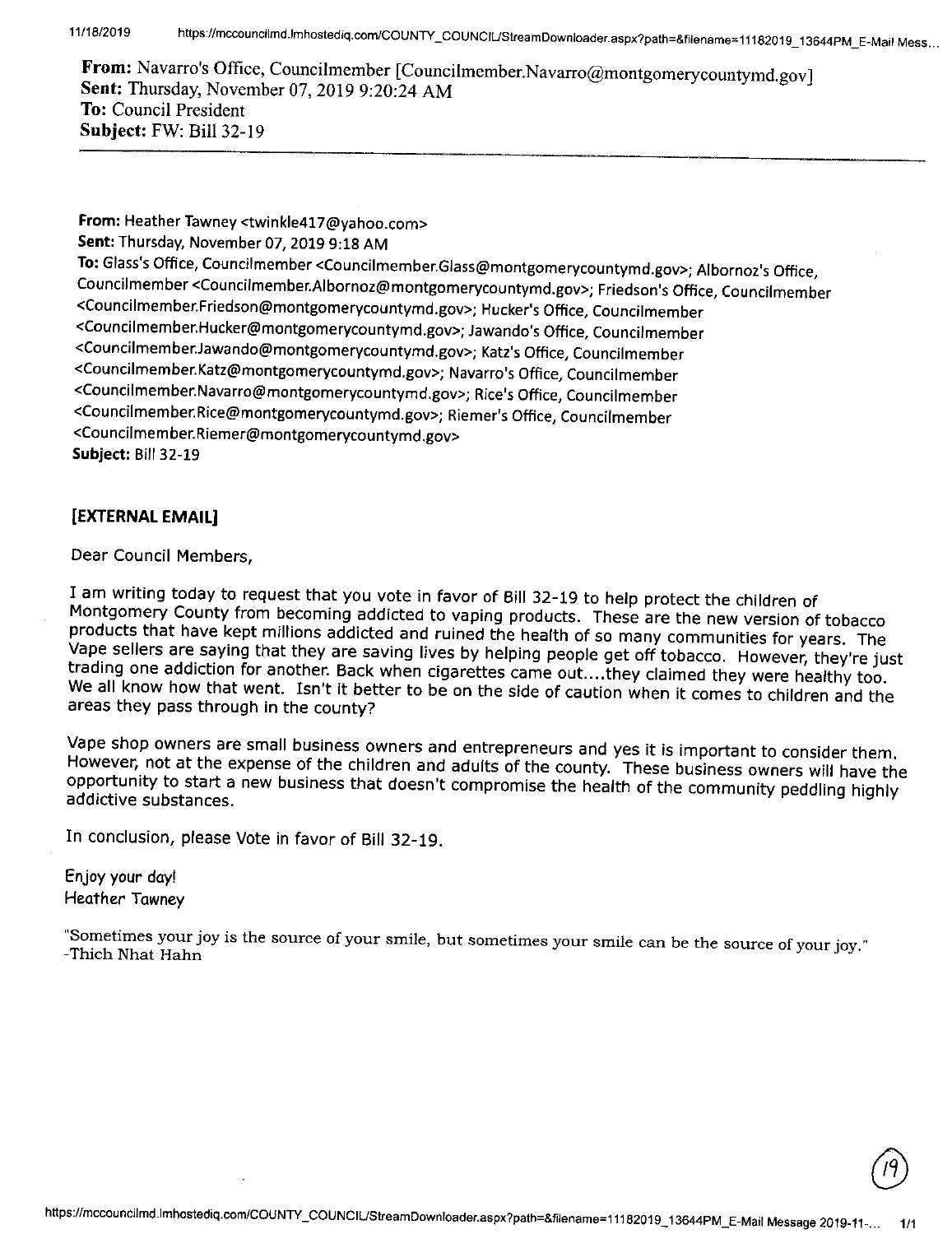11/18/2019 **https://mccouncilmd.lmhostediq.com/COUNTY \_ COUNCIUStreamDownloader.aspx?path=&filename::: 11182019 \_ 13644PM\_ E-Mail Mess .. \_** 

From: Navarro's Office, Councilmember [Councilmember.Navarro@montgomerycountymd.gov] **Sent:** Thursday, November 07, 2019 9:20:24 AM **To:** Council President **Subject:** FW: Bill 32-19

From: Heather Tawney <twinkle417@yahoo.com> **Sent:** Thursday, November 07, 2019 9:18 AM **To:** Glass's Office, Council member <Councilmember.Glass@montgomerycountymd.gov>; Albornoz's Office, Councilmember <Councilmember.Albornoz@montgomerycountymd.gov>; Friedson's Office, Councilmember <Councilmember.Friedson@montgomerycountymd.gov>; Hucker's Office, Councilmember <Councilmember.Hucker@montgomerycountymd.gov>; Jawando's Office, Council member <Councilmember.Jawando@montgomerycountymd.gov>; Katz's Office, Councilmember <Councilmember.Katz@montgomerycountymd.gov>; Navarro's Office, Councilmember <Councilmember.Navarro@montgomerycountymd.gov>; Rice's Office, Councilmember <Councilmember.Rice@montgomerycountymd.gov>; Riemer's Office, Councilmember <Councilmember.Riemer@montgomerycountymd.gov> **Subject:** Bill 32-19

## **[EXTERNAL EMAIL]**

Dear Council Members,

<sup>I</sup>am writing today to request that you vote in favor of Bill 32-19 to help protect the children of Montgomery County from becoming addicted to vaping products. These are the new version of tobacco products that have kept millions addicted and ruined the health of so many communities for years. The Vape sellers are saying that they are saving lives by helping people get off tobacco. However, they're just trading one addiction for another. Back when cigarettes came out.. .. they claimed they were healthy too. We all know how that went. Isn't it better to be on the side of caution when it comes to children and the areas they pass through in the county?

Vape shop owners are small business owners and entrepreneurs and yes it is important to consider them. However, not at the expense of the children and adults of the county. These business owners will have the opportunity to start a new business that doesn't compromise the health of the community peddling highly addictive substances.

In conclusion, please Vote in favor of Bill 32-19.

Enjoy your day! Heather Tawney

"Sometimes your joy is the source of your smile, but sometimes your smile can be the source of your joy." -Thich Nhat Hahn

 $\sqrt{19}$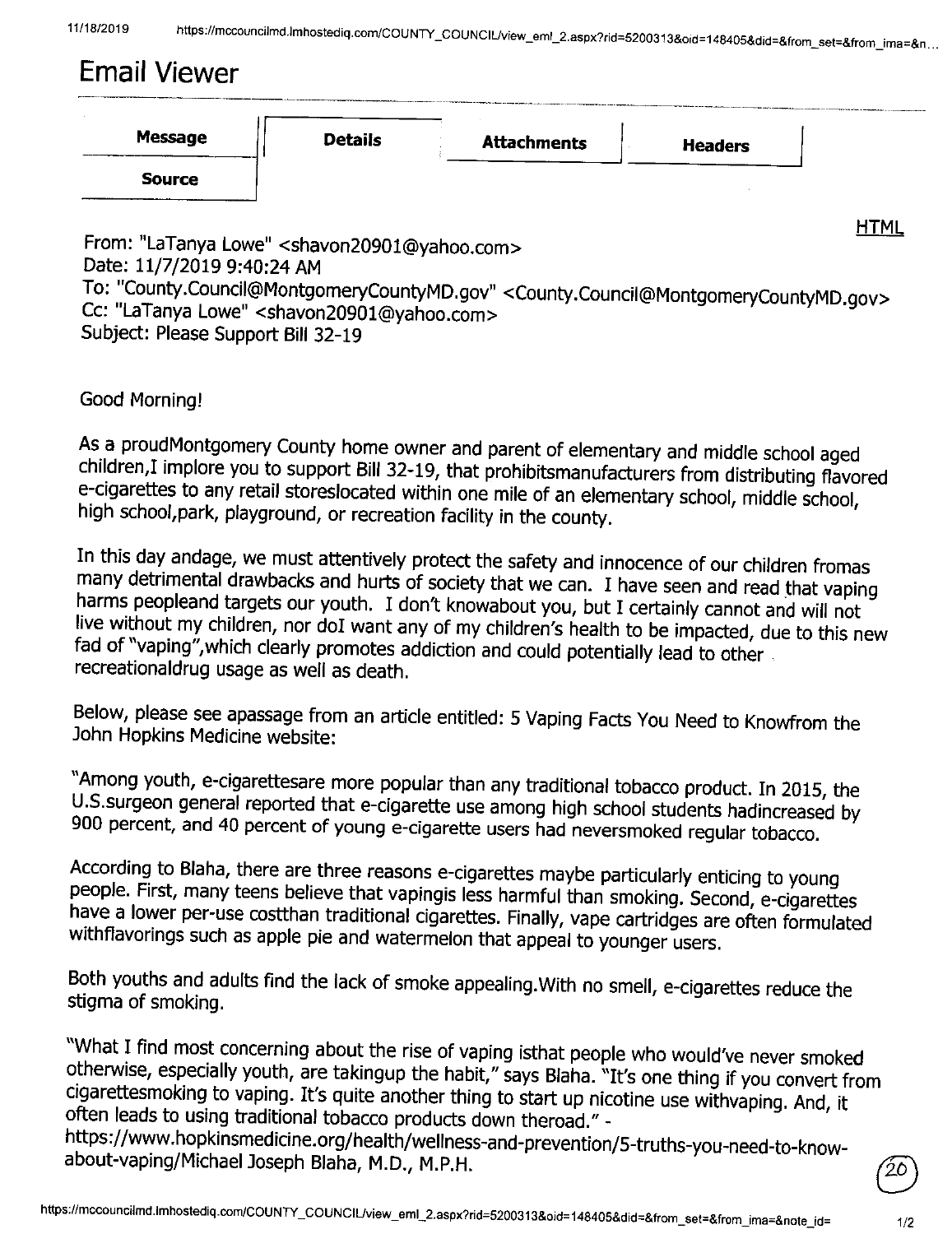# **Email Viewer**

|                |                |                    | continuous and the company's a determinant property and continuous |  |
|----------------|----------------|--------------------|--------------------------------------------------------------------|--|
| <b>Message</b> | <b>Details</b> | <b>Attachments</b> | <b>Headers</b>                                                     |  |
| <b>Source</b>  |                |                    |                                                                    |  |
|                |                |                    |                                                                    |  |

From: "LaTanya Lowe" <shavon20901@yahoo.com> Date: 11/7/2019 9:40:24 AM To: "County.Council@MontgomeryCountyMD.gov" <County.Council@MontgomeryCountyMD.gov> Cc: "LaTanya Lowe" <shavon20901@yahoo.com> Subject: Please Support Bill 32-19

Good Morning!

As a proudMontgomery County home owner and parent of elementary and middle school aged children,! implore you to support Bill 32-19, that prohibitsmanufacturers from distributing flavored e-cigarettes to any retail storeslocated within one mile of an elementary school, middle school, high school,park, playground, or recreation facility in the county.

In this day andage, we must attentively protect the safety and innocence of our children fromas many detrimental drawbacks and hurts of society that we can. I have seen and read that vaping harms peopleand targets our youth. I don't knowabout you, but I certainly cannot and will not live without my children, nor doI want any of my children's health to be impacted, due to this new fad of "vaping",which clearly promotes addiction and could potentially lead to other . recreationaldrug usage as well as death.

Below, please see apassage from an article entitled: 5 Vaping Facts You Need to Knowfrom the John Hopkins Medicine website:

"Among youth, e-cigarettesare more popular than any traditional tobacco product. In 2015, the U.S.surgeon general reported that e-cigarette use among high school students hadincreased by 900 percent, and 40 percent of young e-cigarette users had neversmoked regular tobacco.

According to Blaha, there are three reasons e-cigarettes maybe particularly enticing to young people. First, many teens believe that vapingis less harmful than smoking. Second, e-cigarettes have a lower per-use costthan traditional cigarettes. Finally, vape cartridges are often formulated withflavorings such as apple pie and watermelon that appeal to younger users.

Both youths and adults find the lack of smoke appealing. With no smell, e-cigarettes reduce the stigma of smoking.

"What I find most concerning about the rise of vaping isthat people who would've never smoked otherwise, especially youth, are takingup the habit," says Blaha. "It's one thing if you convert from cigarettesmoking to vaping. It's quite another thing to start up nicotine use withvaping. And, it often leads to using traditional tobacco products down theroad." -

https://www.hopkinsmedicine.org/health/wellness-and-prevention/5-truths-you-need-to-knowabout-vaping/Michael Joseph Blaha, M.D., M.P.H.

**HTML**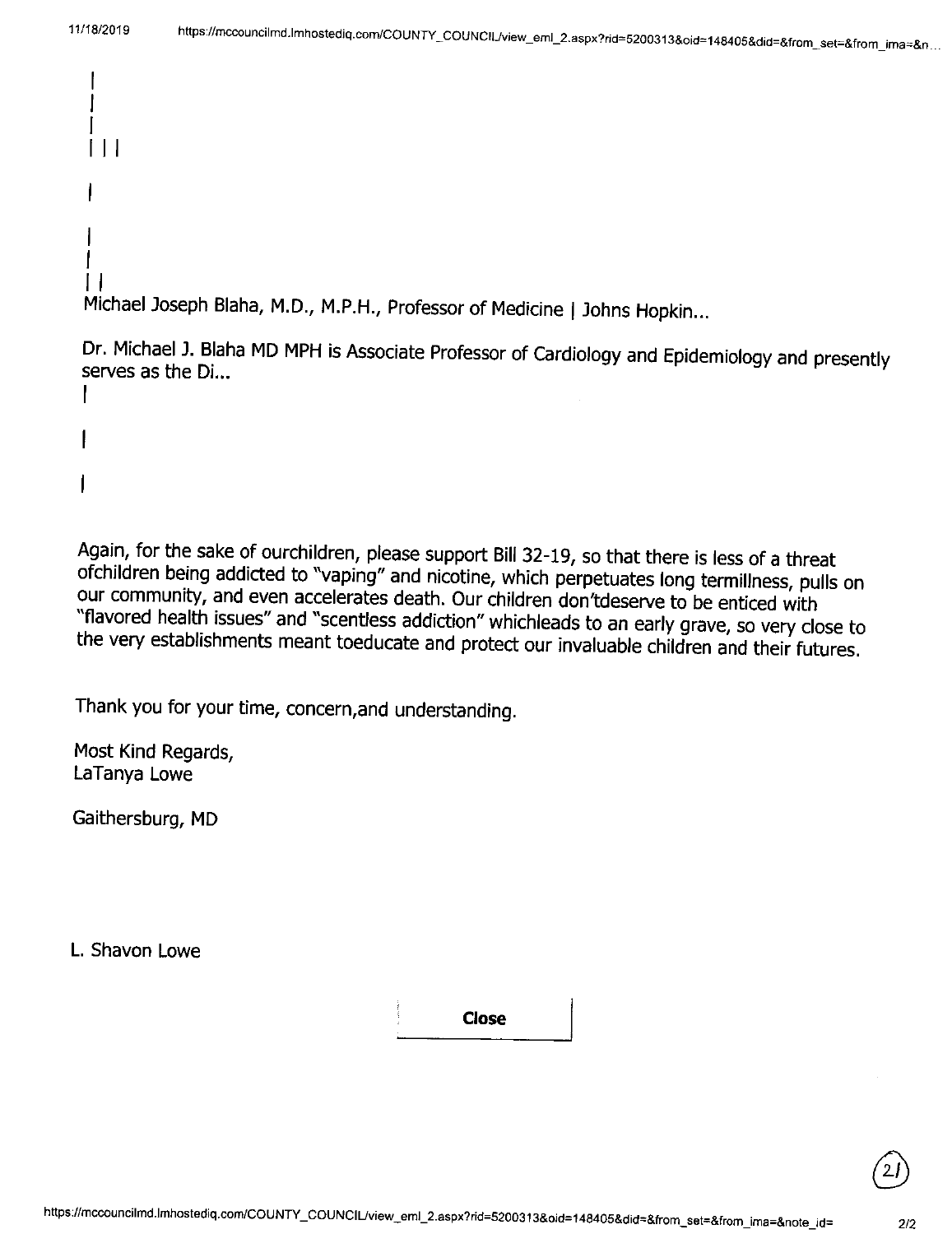```
I 
 I 
 I 
 II I 
 I 
 \mathsf{I}I 
II 
Michael Joseph Blaha, M.D., M.P.H., Professor of Medicine | Johns Hopkin...
```
Dr. Michael J. Blaha MD MPH is Associate Professor of Cardiology and Epidemiology and presently serves as the Di... I

Again, for the sake of ourchildren, please support Bill 32-19, so that there is less of a threat ofchildren being addicted to "vaping" and nicotine, which perpetuates long termillness, pulls on our community, and even accelerates death. Our children don'tdeserve to be enticed with "flavored health issues" and "scentless addiction" whichleads to an early grave, so very close to the very establishments meant toeducate and protect our invaluable children and their futures.

Thank you for your time, concern,and understanding.

Most Kind Regards, LaTanya Lowe

Gaithersburg, MD

L. Shavon Lowe

**Close**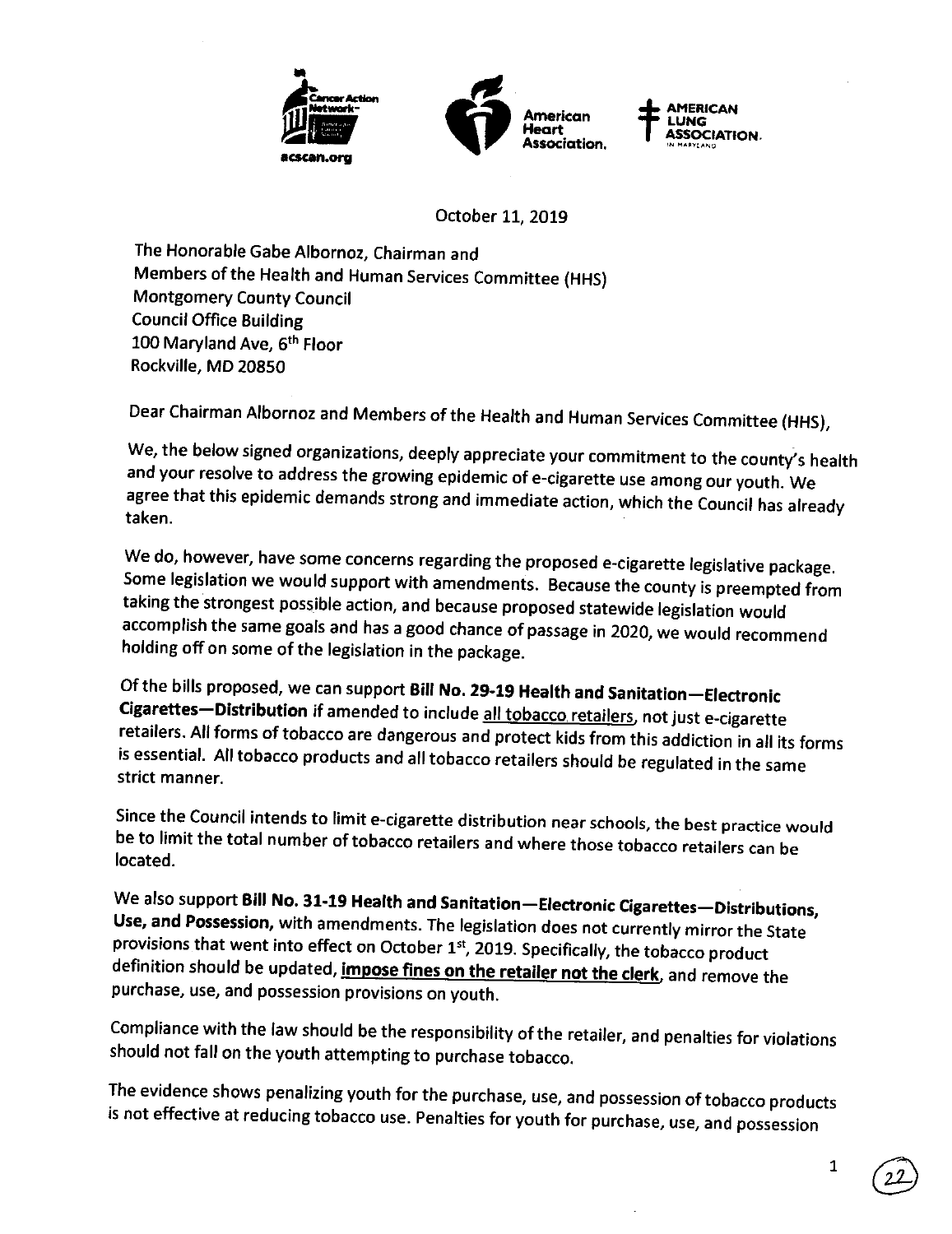

October 11, 2019

The Honorable Gabe Albornoz, Chairman and Members of the Health and Human Services Committee (HHS) Montgomery County Council Council Office Building 100 Maryland Ave, 6<sup>th</sup> Floor Rockville, MD 20850

Dear Chairman Albornoz and Members of the Health and Human Services Committee (HHS),

We, the below signed organizations, deeply appreciate your commitment to the county's health and your resolve to address the growing epidemic of e-cigarette use among our youth. We agree that this epidemic demands strong and immediate action, which the Council has already taken.

We do, however, have some concerns regarding the proposed e-cigarette legislative package. Some legislation we would support with amendments. Because the county is preempted from taking the strongest possible action, and because proposed statewide legislation would accomplish the same goals and has a good chance of passage in 2020, we would recommend holding off on some of the legislation in the package.

Of the bills proposed, we can support **Bill No. 29-19 Health and Sanitation-Electronic Cigarettes-Distribution** if amended to include all tobacco. retailers, not just e-cigarette retailers. All forms of tobacco are dangerous and protect kids from this addiction in all its forms is essential. All tobacco products and all tobacco retailers should be regulated in the same strict manner.

Since the Council intends to limit e-cigarette distribution near schools, the best practice would be to limit the total number of tobacco retailers and where those tobacco retailers can be located.

We also support **Bill No. 31-19 Health and Sanitation-Electronic Cigarettes-Distributions, Use, and Possession,** with amendments. The legislation does not currently mirror the State provisions that went into effect on October  $1<sup>st</sup>$ , 2019. Specifically, the tobacco product definition should be updated, **impose fines on the retailer not the clerk,** and remove the purchase, use, and possession provisions on youth.

Compliance with the law should be the responsibility of the retailer, and penalties for violations should not fall on the youth attempting to purchase tobacco.

The evidence shows penalizing youth for the purchase, use, and possession of tobacco products is not effective at reducing tobacco use. Penalties for youth for purchase, use, and possession

1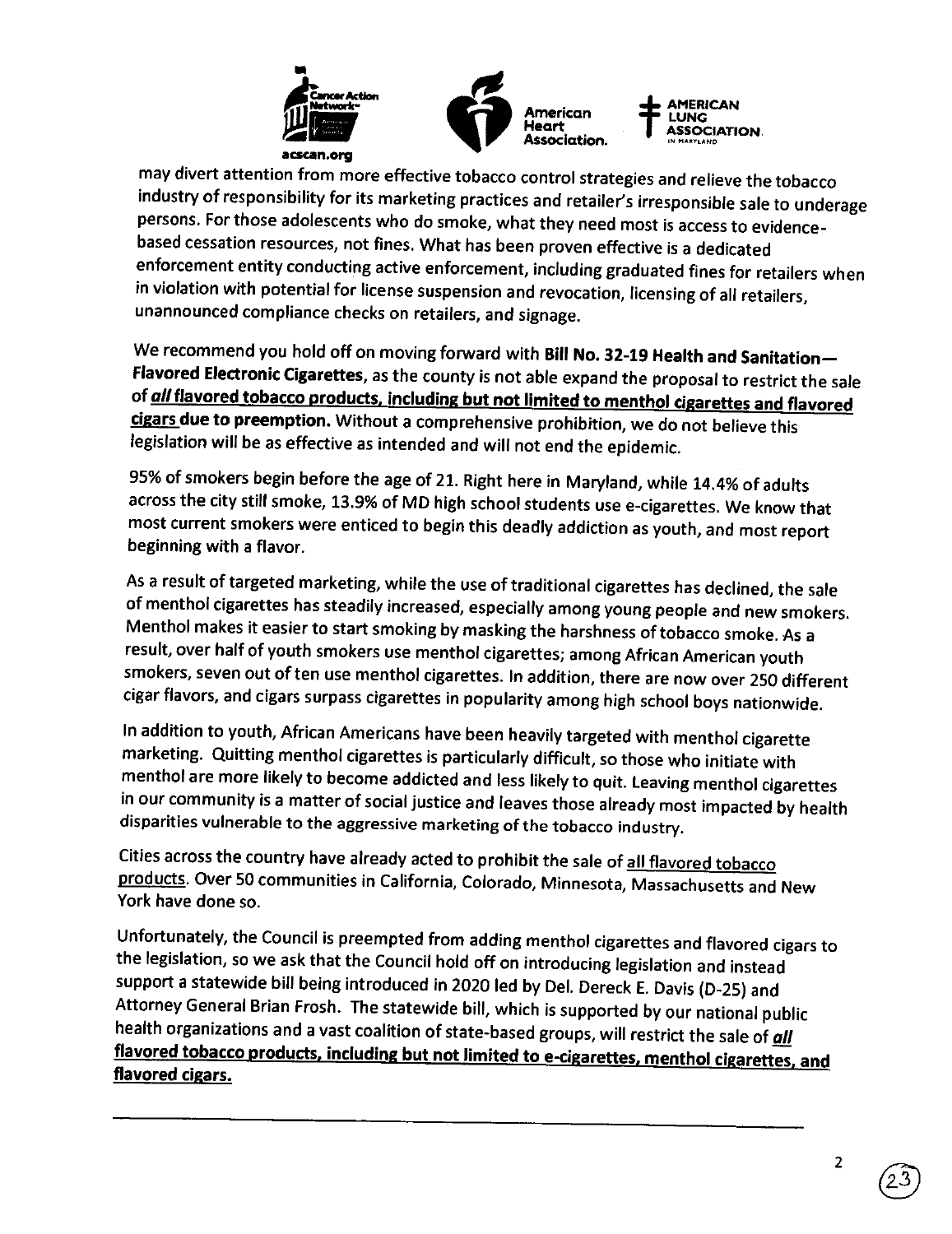

may divert attention from more effective tobacco control strategies and relieve the tobacco industry of responsibility for its marketing practices and retailer's irresponsible sale to underage persons. For those adolescents who do smoke, what they need most is access to evidencebased cessation resources, not fines. What has been proven effective is a dedicated enforcement entity conducting active enforcement, including graduated fines for retailers when in violation with potential for license suspension and revocation, licensing of all retailers, unannounced compliance checks on retailers, and signage.

We recommend you hold off on moving forward with **Bill No. 32-19 Health and Sanitation-Flavored Electronic Cigarettes,** as the county is not able expand the proposal to restrict the sale of **all flavored tobacco products. including but not limited to menthol cigarettes and flavored cigars due to preemption.** Without a comprehensive prohibition, we do not believe this legislation will be as effective as intended and will not end the epidemic.

95% of smokers begin before the age of 21. Right here in Maryland, while 14.4% of adults across the city still smoke, 13.9% of MD high school students use e-cigarettes. We know that most current smokers were enticed to begin this deadly addiction as youth, and most report beginning with a flavor.

As a result of targeted marketing, while the use of traditional cigarettes has declined, the sale of menthol cigarettes has steadily increased, especially among young people and new smokers. Menthol makes it easier to start smoking by masking the harshness of tobacco smoke. As <sup>a</sup> result, over half of youth smokers use menthol cigarettes; among African American youth smokers, seven out of ten use menthol cigarettes. In addition, there are now over 250 different cigar flavors, and cigars surpass cigarettes in popularity among high school boys nationwide.

In addition to youth, African Americans have been heavily targeted with menthol cigarette marketing. Quitting menthol cigarettes is particularly difficult, so those who initiate with menthol are more likely to become addicted and less likely to quit. Leaving menthol cigarettes in our community is a matter of social justice and leaves those already most impacted by health disparities vulnerable to the aggressive marketing of the tobacco industry.

Cities across the country have already acted to prohibit the sale of all flavored tobacco products. Over 50 communities in California, Colorado, Minnesota, Massachusetts and New York have done so.

Unfortunately, the Council is preempted from adding menthol cigarettes and flavored cigars to the legislation, so we ask that the Council hold off on introducing legislation and instead support a statewide bill being introduced in 2020 led by Del. Dereck E. Davis (D-25) and Attorney General Brian Frosh. The statewide bill, which is supported by our national public health organizations and a vast coalition of state-based groups, will restrict the sale of **all flavored tobacco products. including but not limited to e-cigarettes, menthol cigarettes. and flavored cigars.**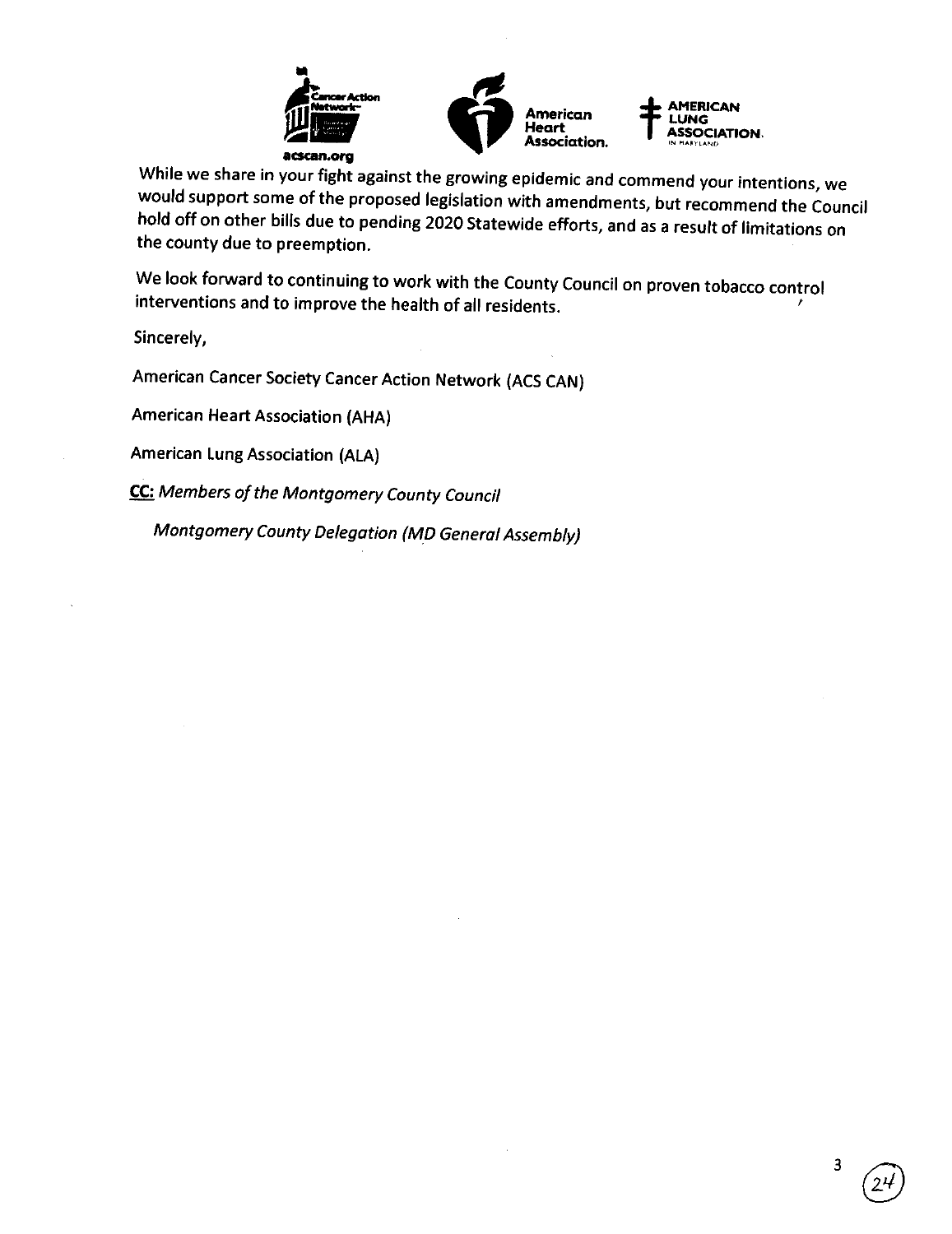

3

While we share in your fight against the growing epidemic and commend your intentions, we would support some of the proposed legislation with amendments, but recommend the Council hold off on other bills due to pending 2020 Statewide efforts, and as a result of limitations on the county due to preemption.

We look forward to continuing to work with the County Council on proven tobacco control interventions and to improve the health of all residents. '

Sincerely,

American Cancer Society Cancer Action Network (ACS CAN)

American Heart Association (AHA)

American Lung Association (ALA)

**CC:** Members of the Montgomery County Council

Montgomery County Delegation (M\_D General Assembly)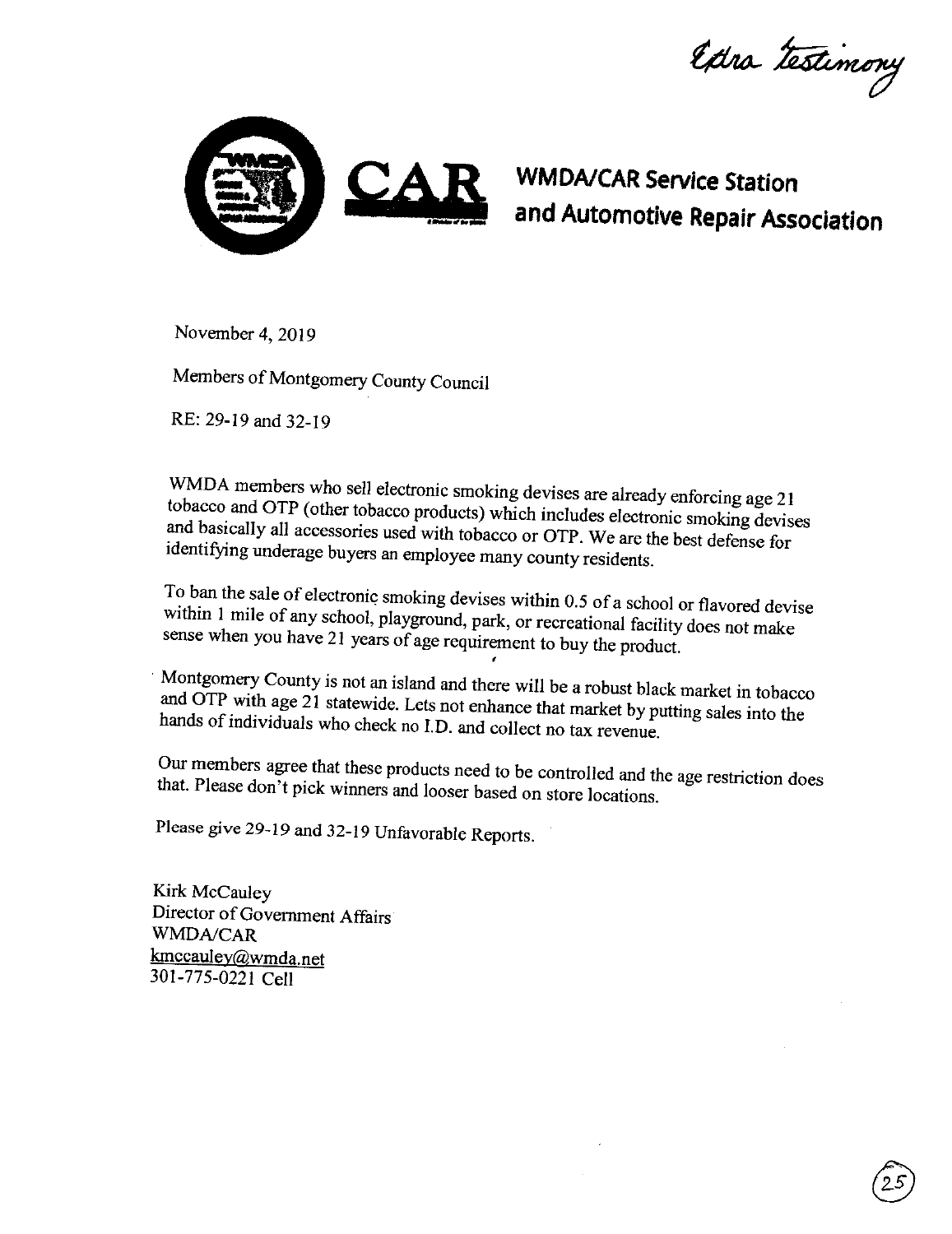Extra testimony



~ **and Automotive Repair Association WM DA/CAR Service Station** 

November 4, 2019

Members of Montgomery County Council

RE: 29-19 and 32-19

WMDA members who sell electronic smoking devises are already enforcing age <sup>21</sup> tobacco and OTP (other tobacco products) which includes electronic smoking devises and basically all accessories used with tobacco or OTP. We are the best defense for identifying underage buyers an employee many county residents.

To ban the sale of electronic smoking devises within 0.5 of a school or flavored devise within I mile of any school, playground, park, or recreational facility does not make sense when you have 21 years of age requirement to buy the product.

'

Montgomery County is not an island and there will be a robust black market in tobacco and OTP with age 21 statewide. Lets not enhance that market by putting sales into the hands of individuals who check no I.D. and collect no tax revenue.

Our members agree that these products need to be controlled and the age restriction does that. Please don't pick winners and looser based on store locations.

Please give 29-19 and 32-19 Unfavorable Reports.

Kirk McCauley Director of Government Affairs *WMDNCAR*  kmccauley@wmda.net 301-775-0221 Cell